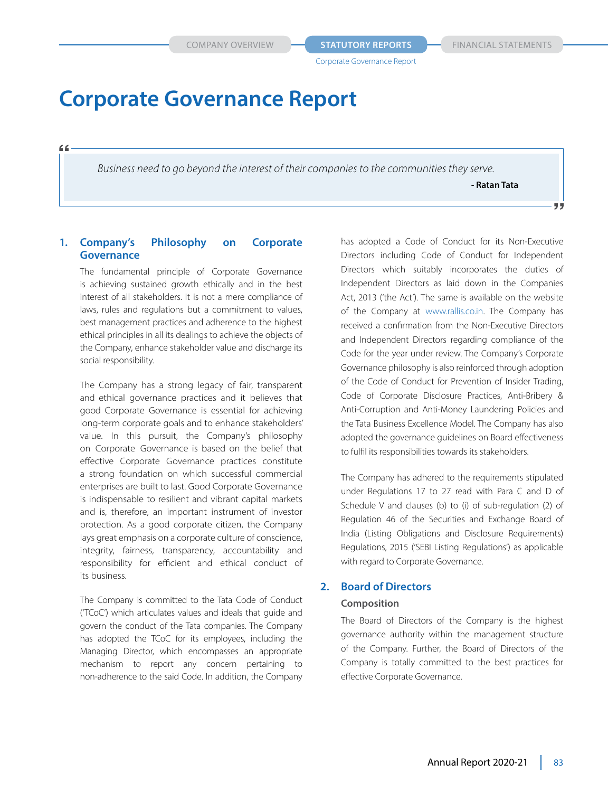*Business need to go beyond the interest of their companies to the communities they serve.*

**- Ratan Tata**

ララ

# **1. Company's Philosophy on Corporate Governance**

 $66$ 

 The fundamental principle of Corporate Governance is achieving sustained growth ethically and in the best interest of all stakeholders. It is not a mere compliance of laws, rules and regulations but a commitment to values, best management practices and adherence to the highest ethical principles in all its dealings to achieve the objects of the Company, enhance stakeholder value and discharge its social responsibility.

 The Company has a strong legacy of fair, transparent and ethical governance practices and it believes that good Corporate Governance is essential for achieving long-term corporate goals and to enhance stakeholders' value. In this pursuit, the Company's philosophy on Corporate Governance is based on the belief that effective Corporate Governance practices constitute a strong foundation on which successful commercial enterprises are built to last. Good Corporate Governance is indispensable to resilient and vibrant capital markets and is, therefore, an important instrument of investor protection. As a good corporate citizen, the Company lays great emphasis on a corporate culture of conscience, integrity, fairness, transparency, accountability and responsibility for efficient and ethical conduct of its business.

 The Company is committed to the Tata Code of Conduct ('TCoC') which articulates values and ideals that guide and govern the conduct of the Tata companies. The Company has adopted the TCoC for its employees, including the Managing Director, which encompasses an appropriate mechanism to report any concern pertaining to non-adherence to the said Code. In addition, the Company

has adopted a Code of Conduct for its Non-Executive Directors including Code of Conduct for Independent Directors which suitably incorporates the duties of Independent Directors as laid down in the Companies Act, 2013 ('the Act'). The same is available on the website of the Company at www.rallis.co.in. The Company has received a confirmation from the Non-Executive Directors and Independent Directors regarding compliance of the Code for the year under review. The Company's Corporate Governance philosophy is also reinforced through adoption of the Code of Conduct for Prevention of Insider Trading, Code of Corporate Disclosure Practices, Anti-Bribery & Anti-Corruption and Anti-Money Laundering Policies and the Tata Business Excellence Model. The Company has also adopted the governance guidelines on Board effectiveness to fulfil its responsibilities towards its stakeholders.

 The Company has adhered to the requirements stipulated under Regulations 17 to 27 read with Para C and D of Schedule V and clauses (b) to (i) of sub-regulation (2) of Regulation 46 of the Securities and Exchange Board of India (Listing Obligations and Disclosure Requirements) Regulations, 2015 ('SEBI Listing Regulations') as applicable with regard to Corporate Governance.

#### **2. Board of Directors**

#### **Composition**

 The Board of Directors of the Company is the highest governance authority within the management structure of the Company. Further, the Board of Directors of the Company is totally committed to the best practices for effective Corporate Governance.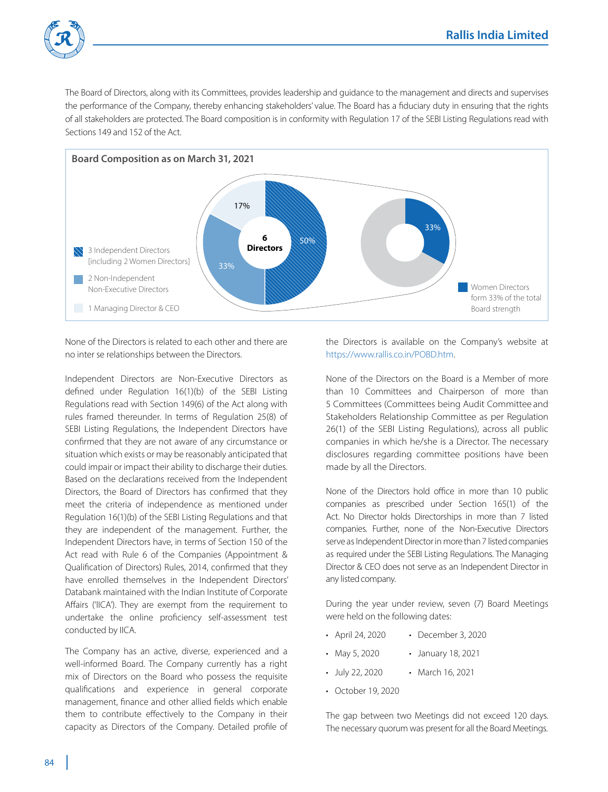

The Board of Directors, along with its Committees, provides leadership and guidance to the management and directs and supervises the performance of the Company, thereby enhancing stakeholders' value. The Board has a fiduciary duty in ensuring that the rights of all stakeholders are protected. The Board composition is in conformity with Regulation 17 of the SEBI Listing Regulations read with Sections 149 and 152 of the Act.



 None of the Directors is related to each other and there are no inter se relationships between the Directors.

 Independent Directors are Non-Executive Directors as defined under Regulation 16(1)(b) of the SEBI Listing Regulations read with Section 149(6) of the Act along with rules framed thereunder. In terms of Regulation 25(8) of SEBI Listing Regulations, the Independent Directors have confirmed that they are not aware of any circumstance or situation which exists or may be reasonably anticipated that could impair or impact their ability to discharge their duties. Based on the declarations received from the Independent Directors, the Board of Directors has confirmed that they meet the criteria of independence as mentioned under Regulation 16(1)(b) of the SEBI Listing Regulations and that they are independent of the management. Further, the Independent Directors have, in terms of Section 150 of the Act read with Rule 6 of the Companies (Appointment & Qualification of Directors) Rules, 2014, confirmed that they have enrolled themselves in the Independent Directors' Databank maintained with the Indian Institute of Corporate Affairs ('IICA'). They are exempt from the requirement to undertake the online proficiency self-assessment test conducted by IICA.

 The Company has an active, diverse, experienced and a well-informed Board. The Company currently has a right mix of Directors on the Board who possess the requisite qualifications and experience in general corporate management, finance and other allied fields which enable them to contribute effectively to the Company in their capacity as Directors of the Company. Detailed profile of the Directors is available on the Company's website at https://www.rallis.co.in/POBD.htm.

 None of the Directors on the Board is a Member of more than 10 Committees and Chairperson of more than 5 Committees (Committees being Audit Committee and Stakeholders Relationship Committee as per Regulation 26(1) of the SEBI Listing Regulations), across all public companies in which he/she is a Director. The necessary disclosures regarding committee positions have been made by all the Directors.

 None of the Directors hold office in more than 10 public companies as prescribed under Section 165(1) of the Act. No Director holds Directorships in more than 7 listed companies. Further, none of the Non-Executive Directors serve as Independent Director in more than 7 listed companies as required under the SEBI Listing Regulations. The Managing Director & CEO does not serve as an Independent Director in any listed company.

 During the year under review, seven (7) Board Meetings were held on the following dates:

- April 24, 2020 December 3, 2020
- May 5, 2020 January 18, 2021
- July 22, 2020 March 16, 2021
- October 19, 2020

 The gap between two Meetings did not exceed 120 days. The necessary quorum was present for all the Board Meetings.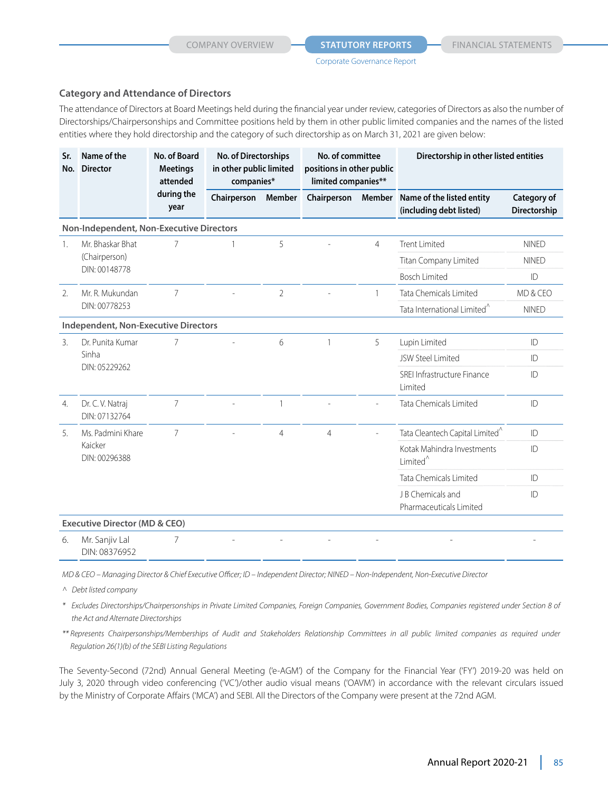### **Category and Attendance of Directors**

The attendance of Directors at Board Meetings held during the financial year under review, categories of Directors as also the number of Directorships/Chairpersonships and Committee positions held by them in other public limited companies and the names of the listed entities where they hold directorship and the category of such directorship as on March 31, 2021 are given below:

| Sr.<br>No.     | Name of the<br><b>Director</b>              | No. of Board<br><b>Meetings</b><br>attended | No. of Directorships<br>in other public limited<br>companies* |                | No. of committee<br>positions in other public<br>limited companies** |                |                                                      |                             |  |  | Directorship in other listed entities |  |
|----------------|---------------------------------------------|---------------------------------------------|---------------------------------------------------------------|----------------|----------------------------------------------------------------------|----------------|------------------------------------------------------|-----------------------------|--|--|---------------------------------------|--|
|                |                                             | during the<br>year                          | Chairperson                                                   | Member         | Chairperson                                                          | Member         | Name of the listed entity<br>(including debt listed) | Category of<br>Directorship |  |  |                                       |  |
|                | Non-Independent, Non-Executive Directors    |                                             |                                                               |                |                                                                      |                |                                                      |                             |  |  |                                       |  |
| $\mathbf{1}$ . | Mr. Bhaskar Bhat                            | 7                                           |                                                               | 5              |                                                                      | $\overline{4}$ | <b>Trent Limited</b>                                 | <b>NINED</b>                |  |  |                                       |  |
|                | (Chairperson)<br>DIN: 00148778              |                                             |                                                               |                |                                                                      |                | Titan Company Limited                                | <b>NINFD</b>                |  |  |                                       |  |
|                |                                             |                                             |                                                               |                |                                                                      |                | <b>Bosch Limited</b>                                 | ID                          |  |  |                                       |  |
| 2.             | Mr. R. Mukundan                             | 7                                           |                                                               | $\overline{2}$ |                                                                      | 1              | Tata Chemicals Limited                               | MD & CFO                    |  |  |                                       |  |
|                | DIN: 00778253                               |                                             |                                                               |                |                                                                      |                | Tata International Limited <sup>^</sup>              | <b>NINED</b>                |  |  |                                       |  |
|                | <b>Independent, Non-Executive Directors</b> |                                             |                                                               |                |                                                                      |                |                                                      |                             |  |  |                                       |  |
| 3.             | Dr. Punita Kumar                            | 6<br>5<br>7                                 |                                                               | Lupin Limited  | ID                                                                   |                |                                                      |                             |  |  |                                       |  |
|                | Sinha<br>DIN: 05229262                      |                                             |                                                               |                |                                                                      |                | JSW Steel Limited                                    | ID                          |  |  |                                       |  |
|                |                                             |                                             |                                                               |                |                                                                      |                | SREI Infrastructure Finance<br>Limited               | ID                          |  |  |                                       |  |
| 4.             | Dr. C. V. Natraj<br>DIN: 07132764           | 7                                           |                                                               | $\mathbf{1}$   |                                                                      |                | Tata Chemicals Limited                               | ID                          |  |  |                                       |  |
| 5.             | Ms. Padmini Khare                           | 7                                           |                                                               | $\overline{4}$ | $\overline{4}$                                                       |                | Tata Cleantech Capital Limited <sup>^</sup>          | ID                          |  |  |                                       |  |
|                | Kaicker<br>DIN: 00296388                    |                                             |                                                               |                |                                                                      |                | Kotak Mahindra Investments<br>Limited <sup>^</sup>   | ID                          |  |  |                                       |  |
|                |                                             |                                             |                                                               |                |                                                                      |                | Tata Chemicals Limited                               | ID                          |  |  |                                       |  |
|                |                                             |                                             |                                                               |                |                                                                      |                | J B Chemicals and<br>Pharmaceuticals Limited         | ID                          |  |  |                                       |  |
|                | <b>Executive Director (MD &amp; CEO)</b>    |                                             |                                                               |                |                                                                      |                |                                                      |                             |  |  |                                       |  |
| 6.             | Mr. Sanjiv Lal<br>DIN: 08376952             | 7                                           |                                                               |                |                                                                      |                |                                                      |                             |  |  |                                       |  |

*MD & CEO – Managing Director & Chief Executive Officer; ID – Independent Director; NINED – Non-Independent, Non-Executive Director*

*^ Debt listed company*

*\* Excludes Directorships/Chairpersonships in Private Limited Companies, Foreign Companies, Government Bodies, Companies registered under Section 8 of the Act and Alternate Directorships*

*\*\* Represents Chairpersonships/Memberships of Audit and Stakeholders Relationship Committees in all public limited companies as required under Regulation 26(1)(b) of the SEBI Listing Regulations*

The Seventy-Second (72nd) Annual General Meeting ('e-AGM') of the Company for the Financial Year ('FY') 2019-20 was held on July 3, 2020 through video conferencing ('VC')/other audio visual means ('OAVM') in accordance with the relevant circulars issued by the Ministry of Corporate Affairs ('MCA') and SEBI. All the Directors of the Company were present at the 72nd AGM.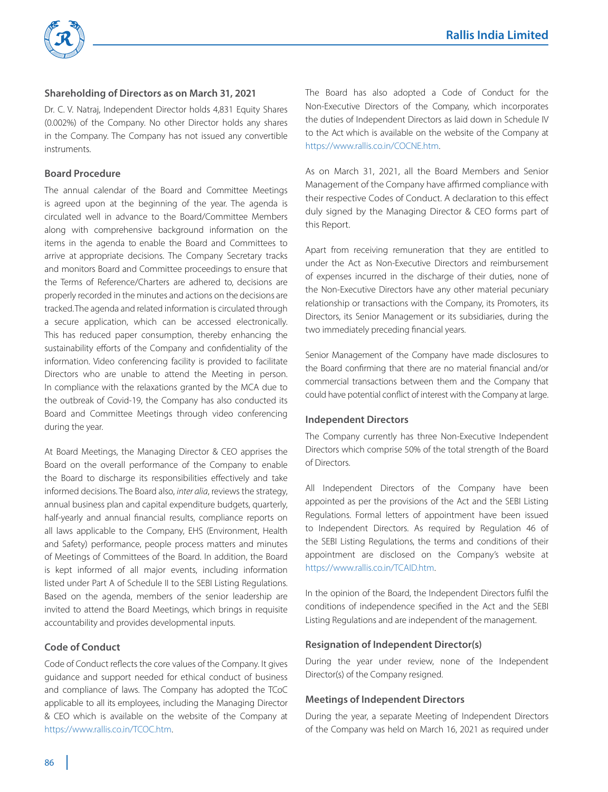

# **Shareholding of Directors as on March 31, 2021**

Dr. C. V. Natraj, Independent Director holds 4,831 Equity Shares (0.002%) of the Company. No other Director holds any shares in the Company. The Company has not issued any convertible instruments.

#### **Board Procedure**

The annual calendar of the Board and Committee Meetings is agreed upon at the beginning of the year. The agenda is circulated well in advance to the Board/Committee Members along with comprehensive background information on the items in the agenda to enable the Board and Committees to arrive at appropriate decisions. The Company Secretary tracks and monitors Board and Committee proceedings to ensure that the Terms of Reference/Charters are adhered to, decisions are properly recorded in the minutes and actions on the decisions are tracked. The agenda and related information is circulated through a secure application, which can be accessed electronically. This has reduced paper consumption, thereby enhancing the sustainability efforts of the Company and confidentiality of the information. Video conferencing facility is provided to facilitate Directors who are unable to attend the Meeting in person. In compliance with the relaxations granted by the MCA due to the outbreak of Covid-19, the Company has also conducted its Board and Committee Meetings through video conferencing during the year.

At Board Meetings, the Managing Director & CEO apprises the Board on the overall performance of the Company to enable the Board to discharge its responsibilities effectively and take informed decisions. The Board also, *inter alia*, reviews the strategy, annual business plan and capital expenditure budgets, quarterly, half-yearly and annual financial results, compliance reports on all laws applicable to the Company, EHS (Environment, Health and Safety) performance, people process matters and minutes of Meetings of Committees of the Board. In addition, the Board is kept informed of all major events, including information listed under Part A of Schedule II to the SEBI Listing Regulations. Based on the agenda, members of the senior leadership are invited to attend the Board Meetings, which brings in requisite accountability and provides developmental inputs.

# **Code of Conduct**

Code of Conduct reflects the core values of the Company. It gives guidance and support needed for ethical conduct of business and compliance of laws. The Company has adopted the TCoC applicable to all its employees, including the Managing Director & CEO which is available on the website of the Company at https://www.rallis.co.in/TCOC.htm.

The Board has also adopted a Code of Conduct for the Non-Executive Directors of the Company, which incorporates the duties of Independent Directors as laid down in Schedule IV to the Act which is available on the website of the Company at https://www.rallis.co.in/COCNE.htm.

As on March 31, 2021, all the Board Members and Senior Management of the Company have affirmed compliance with their respective Codes of Conduct. A declaration to this effect duly signed by the Managing Director & CEO forms part of this Report.

Apart from receiving remuneration that they are entitled to under the Act as Non-Executive Directors and reimbursement of expenses incurred in the discharge of their duties, none of the Non-Executive Directors have any other material pecuniary relationship or transactions with the Company, its Promoters, its Directors, its Senior Management or its subsidiaries, during the two immediately preceding financial years.

Senior Management of the Company have made disclosures to the Board confirming that there are no material financial and/or commercial transactions between them and the Company that could have potential conflict of interest with the Company at large.

#### **Independent Directors**

The Company currently has three Non-Executive Independent Directors which comprise 50% of the total strength of the Board of Directors.

All Independent Directors of the Company have been appointed as per the provisions of the Act and the SEBI Listing Regulations. Formal letters of appointment have been issued to Independent Directors. As required by Regulation 46 of the SEBI Listing Regulations, the terms and conditions of their appointment are disclosed on the Company's website at https://www.rallis.co.in/TCAID.htm.

In the opinion of the Board, the Independent Directors fulfil the conditions of independence specified in the Act and the SEBI Listing Regulations and are independent of the management.

#### **Resignation of Independent Director(s)**

During the year under review, none of the Independent Director(s) of the Company resigned.

#### **Meetings of Independent Directors**

During the year, a separate Meeting of Independent Directors of the Company was held on March 16, 2021 as required under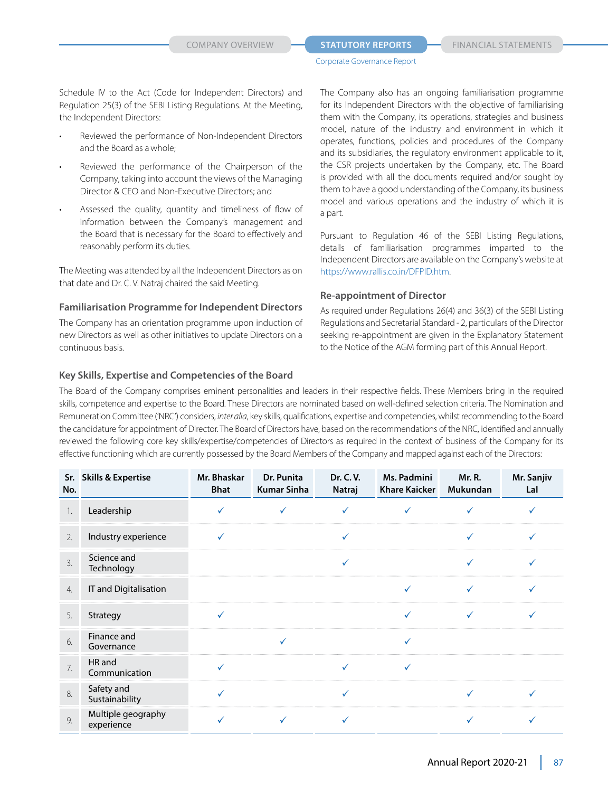Schedule IV to the Act (Code for Independent Directors) and Regulation 25(3) of the SEBI Listing Regulations. At the Meeting, the Independent Directors:

- Reviewed the performance of Non-Independent Directors and the Board as a whole;
- Reviewed the performance of the Chairperson of the Company, taking into account the views of the Managing Director & CEO and Non-Executive Directors; and
- Assessed the quality, quantity and timeliness of flow of information between the Company's management and the Board that is necessary for the Board to effectively and reasonably perform its duties.

The Meeting was attended by all the Independent Directors as on that date and Dr. C. V. Natraj chaired the said Meeting.

#### **Familiarisation Programme for Independent Directors**

The Company has an orientation programme upon induction of new Directors as well as other initiatives to update Directors on a continuous basis.

#### **Key Skills, Expertise and Competencies of the Board**

The Company also has an ongoing familiarisation programme for its Independent Directors with the objective of familiarising them with the Company, its operations, strategies and business model, nature of the industry and environment in which it operates, functions, policies and procedures of the Company and its subsidiaries, the regulatory environment applicable to it, the CSR projects undertaken by the Company, etc. The Board is provided with all the documents required and/or sought by them to have a good understanding of the Company, its business model and various operations and the industry of which it is a part.

Pursuant to Regulation 46 of the SEBI Listing Regulations, details of familiarisation programmes imparted to the Independent Directors are available on the Company's website at https://www.rallis.co.in/DFPID.htm.

#### **Re-appointment of Director**

As required under Regulations 26(4) and 36(3) of the SEBI Listing Regulations and Secretarial Standard - 2, particulars of the Director seeking re-appointment are given in the Explanatory Statement to the Notice of the AGM forming part of this Annual Report.

The Board of the Company comprises eminent personalities and leaders in their respective fields. These Members bring in the required skills, competence and expertise to the Board. These Directors are nominated based on well-defined selection criteria. The Nomination and Remuneration Committee ('NRC') considers, *inter alia*, key skills, qualifications, expertise and competencies, whilst recommending to the Board the candidature for appointment of Director. The Board of Directors have, based on the recommendations of the NRC, identified and annually reviewed the following core key skills/expertise/competencies of Directors as required in the context of business of the Company for its effective functioning which are currently possessed by the Board Members of the Company and mapped against each of the Directors:

| No.              | Sr. Skills & Expertise           | Mr. Bhaskar<br><b>Bhat</b> | Dr. Punita<br><b>Kumar Sinha</b> | Dr. C. V.<br>Natraj | Ms. Padmini<br><b>Khare Kaicker</b> | Mr. R.<br><b>Mukundan</b> | Mr. Sanjiv<br>Lal |
|------------------|----------------------------------|----------------------------|----------------------------------|---------------------|-------------------------------------|---------------------------|-------------------|
| 1.               | Leadership                       | ✓                          | $\checkmark$                     | ✓                   | ✓                                   | ✓                         |                   |
| 2.               | Industry experience              | ✓                          |                                  | ✓                   |                                     |                           |                   |
| 3.               | Science and<br>Technology        |                            |                                  | ✓                   |                                     | ✓                         |                   |
| $\overline{4}$ . | IT and Digitalisation            |                            |                                  |                     | √                                   | ✓                         |                   |
| 5.               | Strategy                         | ✓                          |                                  |                     | ✓                                   | $\checkmark$              | ✓                 |
| 6.               | Finance and<br>Governance        |                            | $\checkmark$                     |                     | ✓                                   |                           |                   |
| 7.               | HR and<br>Communication          |                            |                                  | ✓                   | $\checkmark$                        |                           |                   |
| 8.               | Safety and<br>Sustainability     |                            |                                  | ✓                   |                                     | ✓                         |                   |
| 9.               | Multiple geography<br>experience |                            |                                  |                     |                                     |                           |                   |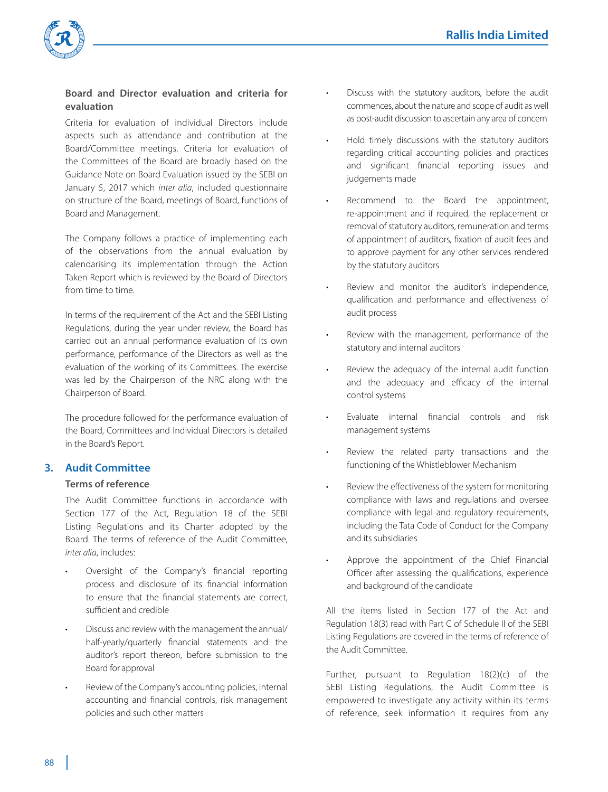

# **Board and Director evaluation and criteria for evaluation**

 Criteria for evaluation of individual Directors include aspects such as attendance and contribution at the Board/Committee meetings. Criteria for evaluation of the Committees of the Board are broadly based on the Guidance Note on Board Evaluation issued by the SEBI on January 5, 2017 which *inter alia*, included questionnaire on structure of the Board, meetings of Board, functions of Board and Management.

 The Company follows a practice of implementing each of the observations from the annual evaluation by calendarising its implementation through the Action Taken Report which is reviewed by the Board of Directors from time to time.

 In terms of the requirement of the Act and the SEBI Listing Regulations, during the year under review, the Board has carried out an annual performance evaluation of its own performance, performance of the Directors as well as the evaluation of the working of its Committees. The exercise was led by the Chairperson of the NRC along with the Chairperson of Board.

 The procedure followed for the performance evaluation of the Board, Committees and Individual Directors is detailed in the Board's Report.

# **3. Audit Committee**

#### **Terms of reference**

 The Audit Committee functions in accordance with Section 177 of the Act, Regulation 18 of the SEBI Listing Regulations and its Charter adopted by the Board. The terms of reference of the Audit Committee, *inter alia*, includes:

- Oversight of the Company's financial reporting process and disclosure of its financial information to ensure that the financial statements are correct, sufficient and credible
- Discuss and review with the management the annual/ half-yearly/quarterly financial statements and the auditor's report thereon, before submission to the Board for approval
- Review of the Company's accounting policies, internal accounting and financial controls, risk management policies and such other matters
- Discuss with the statutory auditors, before the audit commences, about the nature and scope of audit as well as post-audit discussion to ascertain any area of concern
- Hold timely discussions with the statutory auditors regarding critical accounting policies and practices and significant financial reporting issues and judgements made
- Recommend to the Board the appointment, re-appointment and if required, the replacement or removal of statutory auditors, remuneration and terms of appointment of auditors, fixation of audit fees and to approve payment for any other services rendered by the statutory auditors
- Review and monitor the auditor's independence, qualification and performance and effectiveness of audit process
- Review with the management, performance of the statutory and internal auditors
- Review the adequacy of the internal audit function and the adequacy and efficacy of the internal control systems
- Evaluate internal financial controls and risk management systems
- Review the related party transactions and the functioning of the Whistleblower Mechanism
- Review the effectiveness of the system for monitoring compliance with laws and regulations and oversee compliance with legal and regulatory requirements, including the Tata Code of Conduct for the Company and its subsidiaries
- Approve the appointment of the Chief Financial Officer after assessing the qualifications, experience and background of the candidate

 All the items listed in Section 177 of the Act and Regulation 18(3) read with Part C of Schedule II of the SEBI Listing Regulations are covered in the terms of reference of the Audit Committee.

 Further, pursuant to Regulation 18(2)(c) of the SEBI Listing Regulations, the Audit Committee is empowered to investigate any activity within its terms of reference, seek information it requires from any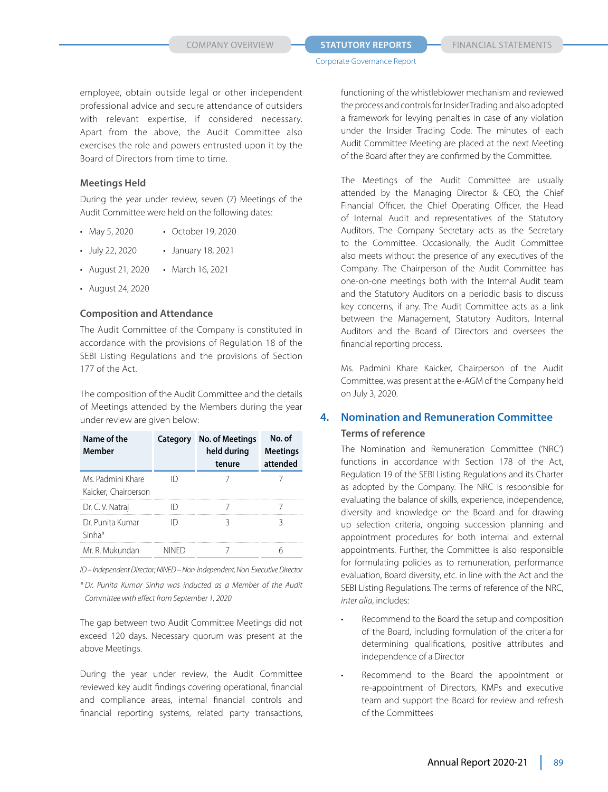employee, obtain outside legal or other independent professional advice and secure attendance of outsiders with relevant expertise, if considered necessary. Apart from the above, the Audit Committee also exercises the role and powers entrusted upon it by the Board of Directors from time to time.

# **Meetings Held**

 During the year under review, seven (7) Meetings of the Audit Committee were held on the following dates:

- May 5, 2020 October 19, 2020
- July 22, 2020 January 18, 2021
- August 21, 2020 March 16, 2021
- • August 24, 2020

#### **Composition and Attendance**

 The Audit Committee of the Company is constituted in accordance with the provisions of Regulation 18 of the SEBI Listing Regulations and the provisions of Section 177 of the Act.

 The composition of the Audit Committee and the details of Meetings attended by the Members during the year under review are given below:

| Name of the<br>Member                     | Category     | No. of Meetings<br>held during<br>tenure | No. of<br><b>Meetings</b><br>attended |
|-------------------------------------------|--------------|------------------------------------------|---------------------------------------|
| Ms. Padmini Khare<br>Kaicker, Chairperson | II)          |                                          |                                       |
| Dr. C. V. Natraj                          |              |                                          |                                       |
| Dr Punita Kumar<br>Sinha*                 |              |                                          |                                       |
| Mr. R. Mukundan                           | <b>NINFD</b> |                                          |                                       |

 *ID – Independent Director; NINED – Non-Independent, Non-Executive Director*

*\* Dr. Punita Kumar Sinha was inducted as a Member of the Audit Committee with effect from September 1, 2020* 

 The gap between two Audit Committee Meetings did not exceed 120 days. Necessary quorum was present at the above Meetings.

 During the year under review, the Audit Committee reviewed key audit findings covering operational, financial and compliance areas, internal financial controls and financial reporting systems, related party transactions,

functioning of the whistleblower mechanism and reviewed the process and controls for Insider Trading and also adopted a framework for levying penalties in case of any violation under the Insider Trading Code. The minutes of each Audit Committee Meeting are placed at the next Meeting of the Board after they are confirmed by the Committee.

 The Meetings of the Audit Committee are usually attended by the Managing Director & CEO, the Chief Financial Officer, the Chief Operating Officer, the Head of Internal Audit and representatives of the Statutory Auditors. The Company Secretary acts as the Secretary to the Committee. Occasionally, the Audit Committee also meets without the presence of any executives of the Company. The Chairperson of the Audit Committee has one-on-one meetings both with the Internal Audit team and the Statutory Auditors on a periodic basis to discuss key concerns, if any. The Audit Committee acts as a link between the Management, Statutory Auditors, Internal Auditors and the Board of Directors and oversees the financial reporting process.

 Ms. Padmini Khare Kaicker, Chairperson of the Audit Committee, was present at the e-AGM of the Company held on July 3, 2020.

# **4. Nomination and Remuneration Committee**

#### **Terms of reference**

 The Nomination and Remuneration Committee ('NRC') functions in accordance with Section 178 of the Act, Regulation 19 of the SEBI Listing Regulations and its Charter as adopted by the Company. The NRC is responsible for evaluating the balance of skills, experience, independence, diversity and knowledge on the Board and for drawing up selection criteria, ongoing succession planning and appointment procedures for both internal and external appointments. Further, the Committee is also responsible for formulating policies as to remuneration, performance evaluation, Board diversity, etc. in line with the Act and the SEBI Listing Regulations. The terms of reference of the NRC, *inter alia*, includes:

- Recommend to the Board the setup and composition of the Board, including formulation of the criteria for determining qualifications, positive attributes and independence of a Director
- Recommend to the Board the appointment or re-appointment of Directors, KMPs and executive team and support the Board for review and refresh of the Committees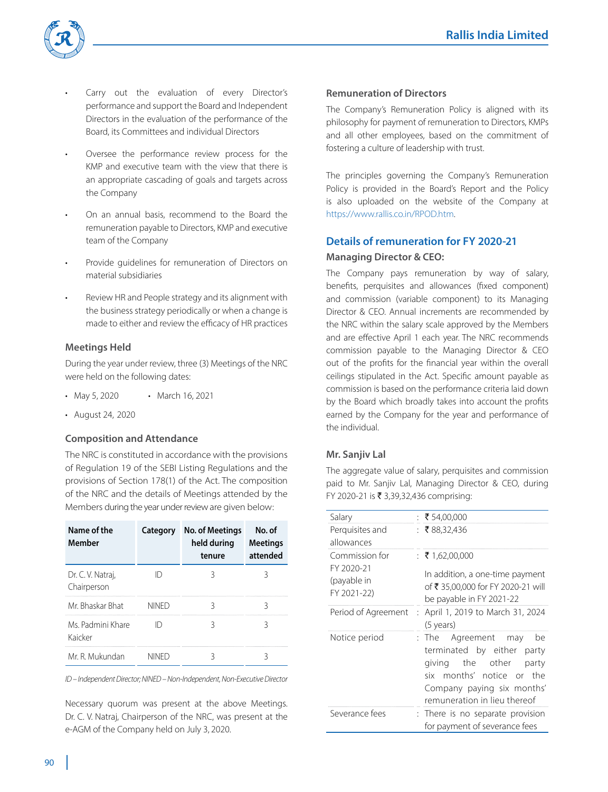

- Carry out the evaluation of every Director's performance and support the Board and Independent Directors in the evaluation of the performance of the Board, its Committees and individual Directors
- Oversee the performance review process for the KMP and executive team with the view that there is an appropriate cascading of goals and targets across the Company
- On an annual basis, recommend to the Board the remuneration payable to Directors, KMP and executive team of the Company
- Provide quidelines for remuneration of Directors on material subsidiaries
- Review HR and People strategy and its alignment with the business strategy periodically or when a change is made to either and review the efficacy of HR practices

# **Meetings Held**

 During the year under review, three (3) Meetings of the NRC were held on the following dates:

- May 5, 2020 March 16, 2021
- • August 24, 2020

#### **Composition and Attendance**

 The NRC is constituted in accordance with the provisions of Regulation 19 of the SEBI Listing Regulations and the provisions of Section 178(1) of the Act. The composition of the NRC and the details of Meetings attended by the Members during the year under review are given below:

| Name of the<br>Member            | Category     | No. of Meetings<br>held during<br>tenure | No. of<br><b>Meetings</b><br>attended |
|----------------------------------|--------------|------------------------------------------|---------------------------------------|
| Dr. C. V. Natraj,<br>Chairperson |              |                                          |                                       |
| Mr Bhaskar Bhat                  | <b>NINFD</b> |                                          |                                       |
| Ms Padmini Khare<br>Kaicker      |              |                                          |                                       |
| Mr. R. Mukundan                  | NINED        |                                          |                                       |

 *ID – Independent Director; NINED – Non-Independent, Non-Executive Director*

 Necessary quorum was present at the above Meetings. Dr. C. V. Natraj, Chairperson of the NRC, was present at the e-AGM of the Company held on July 3, 2020.

# **Remuneration of Directors**

 The Company's Remuneration Policy is aligned with its philosophy for payment of remuneration to Directors, KMPs and all other employees, based on the commitment of fostering a culture of leadership with trust.

 The principles governing the Company's Remuneration Policy is provided in the Board's Report and the Policy is also uploaded on the website of the Company at https://www.rallis.co.in/RPOD.htm.

# **Details of remuneration for FY 2020-21 Managing Director & CEO:**

 The Company pays remuneration by way of salary, benefits, perquisites and allowances (fixed component) and commission (variable component) to its Managing Director & CEO. Annual increments are recommended by the NRC within the salary scale approved by the Members and are effective April 1 each year. The NRC recommends commission payable to the Managing Director & CEO out of the profits for the financial year within the overall ceilings stipulated in the Act. Specific amount payable as commission is based on the performance criteria laid down by the Board which broadly takes into account the profits earned by the Company for the year and performance of the individual.

# **Mr. Sanjiv Lal**

 The aggregate value of salary, perquisites and commission paid to Mr. Sanjiv Lal, Managing Director & CEO, during FY 2020-21 is ₹ 3,39,32,436 comprising:

| Salary                                      | : ₹54,00,000                                                                                                                                                                    |
|---------------------------------------------|---------------------------------------------------------------------------------------------------------------------------------------------------------------------------------|
| Perquisites and<br>allowances               | : ₹88,32,436                                                                                                                                                                    |
| Commission for<br>FY 2020-21<br>(payable in | : ₹1,62,00,000<br>In addition, a one-time payment<br>of ₹ 35,00,000 for FY 2020-21 will                                                                                         |
| FY 2021-22)                                 | be payable in FY 2021-22                                                                                                                                                        |
| Period of Agreement                         | April 1, 2019 to March 31, 2024<br>÷<br>(5 years)                                                                                                                               |
| Notice period                               | : The Agreement may<br>be<br>terminated by either party<br>giving the other<br>party<br>six months' notice or the<br>Company paying six months'<br>remuneration in lieu thereof |
| Severance fees                              | : There is no separate provision<br>for payment of severance fees                                                                                                               |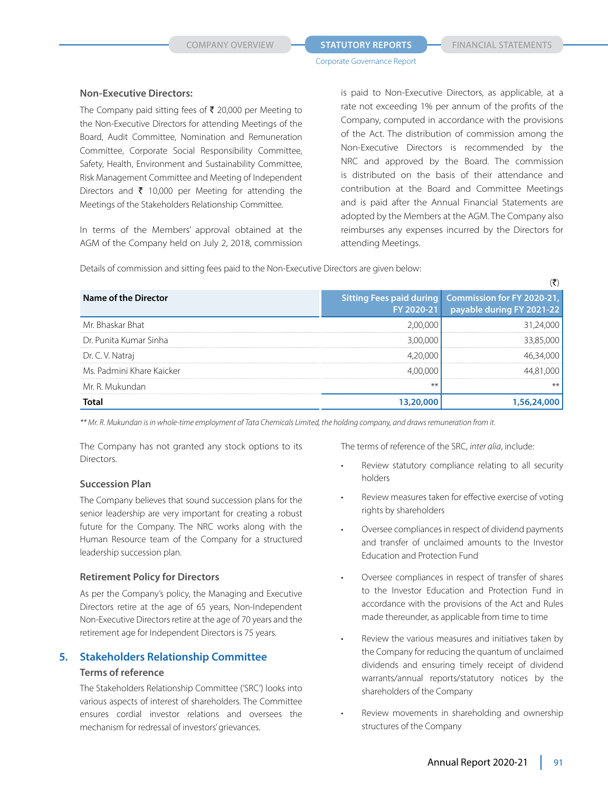$\langle \overline{\mathbf{F}} \rangle$ 

Corporate Governance Report

#### **Non-Executive Directors:**

The Company paid sitting fees of  $\bar{\tau}$  20,000 per Meeting to the Non-Executive Directors for attending Meetings of the Board, Audit Committee, Nomination and Remuneration Committee, Corporate Social Responsibility Committee, Safety, Health, Environment and Sustainability Committee, Risk Management Committee and Meeting of Independent Directors and  $\bar{\tau}$  10,000 per Meeting for attending the Meetings of the Stakeholders Relationship Committee.

 In terms of the Members' approval obtained at the AGM of the Company held on July 2, 2018, commission is paid to Non-Executive Directors, as applicable, at a rate not exceeding 1% per annum of the profits of the Company, computed in accordance with the provisions of the Act. The distribution of commission among the Non-Executive Directors is recommended by the NRC and approved by the Board. The commission is distributed on the basis of their attendance and contribution at the Board and Committee Meetings and is paid after the Annual Financial Statements are adopted by the Members at the AGM. The Company also reimburses any expenses incurred by the Directors for attending Meetings.

Details of commission and sitting fees paid to the Non-Executive Directors are given below:

|                           |      | `                                                                                              |
|---------------------------|------|------------------------------------------------------------------------------------------------|
| Name of the Director      |      | Sitting Fees paid during Commission for FY 2020-21,<br>FY 2020-21    payable during FY 2021-22 |
| Mr. Bhaskar Bhat          |      |                                                                                                |
| Dr. Punita Kumar Sinha    |      |                                                                                                |
| Dr. C. V. Natraj          |      |                                                                                                |
| Ms. Padmini Khare Kaicker |      |                                                                                                |
| Mr. R. Mukundan           | $**$ | $***$                                                                                          |
|                           |      |                                                                                                |

*\*\* Mr. R. Mukundan is in whole-time employment of Tata Chemicals Limited, the holding company, and draws remuneration from it.*

 The Company has not granted any stock options to its Directors.

#### **Succession Plan**

 The Company believes that sound succession plans for the senior leadership are very important for creating a robust future for the Company. The NRC works along with the Human Resource team of the Company for a structured leadership succession plan.

#### **Retirement Policy for Directors**

 As per the Company's policy, the Managing and Executive Directors retire at the age of 65 years, Non-Independent Non-Executive Directors retire at the age of 70 years and the retirement age for Independent Directors is 75 years.

# **5. Stakeholders Relationship Committee Terms of reference**

 The Stakeholders Relationship Committee ('SRC') looks into various aspects of interest of shareholders. The Committee ensures cordial investor relations and oversees the mechanism for redressal of investors' grievances.

The terms of reference of the SRC, *inter alia*, include:

- Review statutory compliance relating to all security holders
- Review measures taken for effective exercise of voting rights by shareholders
- Oversee compliances in respect of dividend payments and transfer of unclaimed amounts to the Investor Education and Protection Fund
- Oversee compliances in respect of transfer of shares to the Investor Education and Protection Fund in accordance with the provisions of the Act and Rules made thereunder, as applicable from time to time
- Review the various measures and initiatives taken by the Company for reducing the quantum of unclaimed dividends and ensuring timely receipt of dividend warrants/annual reports/statutory notices by the shareholders of the Company
- Review movements in shareholding and ownership structures of the Company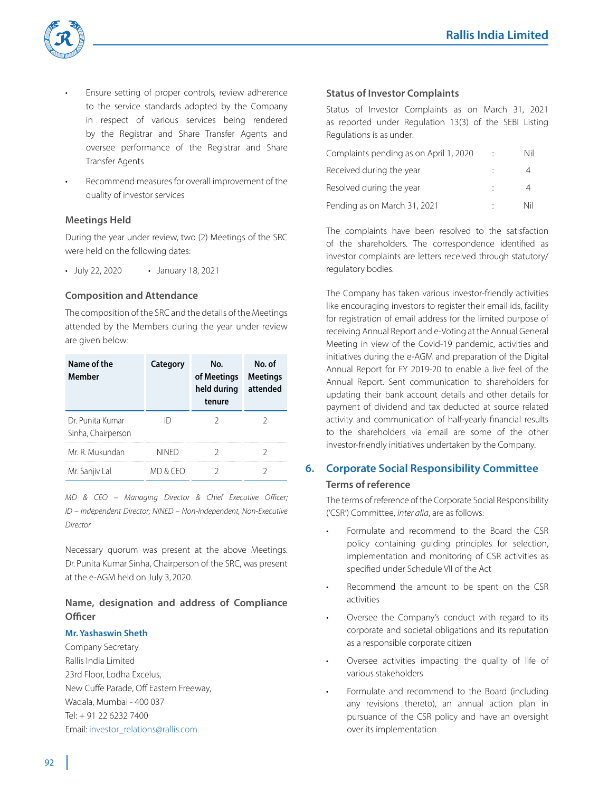

- Ensure setting of proper controls, review adherence to the service standards adopted by the Company in respect of various services being rendered by the Registrar and Share Transfer Agents and oversee performance of the Registrar and Share Transfer Agents
- Recommend measures for overall improvement of the quality of investor services

# **Meetings Held**

 During the year under review, two (2) Meetings of the SRC were held on the following dates:

• July 22, 2020 • January 18, 2021

#### **Composition and Attendance**

 The composition of the SRC and the details of the Meetings attended by the Members during the year under review are given below:

| Name of the<br>Member                 | Category | No.<br>of Meetings<br>held during<br>tenure | No. of<br><b>Meetings</b><br>attended |
|---------------------------------------|----------|---------------------------------------------|---------------------------------------|
| Dr Punita Kumar<br>Sinha, Chairperson |          |                                             |                                       |
| Mr. R. Mukundan                       | NINFD    |                                             |                                       |
| Mr. Sanjiv Lal                        |          |                                             |                                       |

 *MD & CEO – Managing Director & Chief Executive Officer; ID – Independent Director; NINED – Non-Independent, Non-Executive Director*

 Necessary quorum was present at the above Meetings. Dr. Punita Kumar Sinha, Chairperson of the SRC, was present at the e-AGM held on July 3, 2020.

# **Name, designation and address of Compliance Officer**

#### **Mr. Yashaswin Sheth**

Company Secretary Rallis India Limited 23rd Floor, Lodha Excelus, New Cuffe Parade, Off Eastern Freeway, Wadala, Mumbai - 400 037 Tel: + 91 22 6232 7400 Email: investor\_relations@rallis.com

### **Status of Investor Complaints**

Status of Investor Complaints as on March 31, 2021 as reported under Regulation 13(3) of the SEBI Listing Regulations is as under:

| Complaints pending as on April 1, 2020 | Nil |
|----------------------------------------|-----|
| Received during the year               |     |
| Resolved during the year               |     |
| Pending as on March 31, 2021           | Nil |

 The complaints have been resolved to the satisfaction of the shareholders. The correspondence identified as investor complaints are letters received through statutory/ regulatory bodies.

 The Company has taken various investor-friendly activities like encouraging investors to register their email ids, facility for registration of email address for the limited purpose of receiving Annual Report and e-Voting at the Annual General Meeting in view of the Covid-19 pandemic, activities and initiatives during the e-AGM and preparation of the Digital Annual Report for FY 2019-20 to enable a live feel of the Annual Report. Sent communication to shareholders for updating their bank account details and other details for payment of dividend and tax deducted at source related activity and communication of half-yearly financial results to the shareholders via email are some of the other investor-friendly initiatives undertaken by the Company.

# **6. Corporate Social Responsibility Committee Terms of reference**

 The terms of reference of the Corporate Social Responsibility ('CSR') Committee, *inter alia*, are as follows:

- Formulate and recommend to the Board the CSR policy containing guiding principles for selection, implementation and monitoring of CSR activities as specified under Schedule VII of the Act
- Recommend the amount to be spent on the CSR activities
- Oversee the Company's conduct with regard to its corporate and societal obligations and its reputation as a responsible corporate citizen
- Oversee activities impacting the quality of life of various stakeholders
- Formulate and recommend to the Board (including any revisions thereto), an annual action plan in pursuance of the CSR policy and have an oversight over its implementation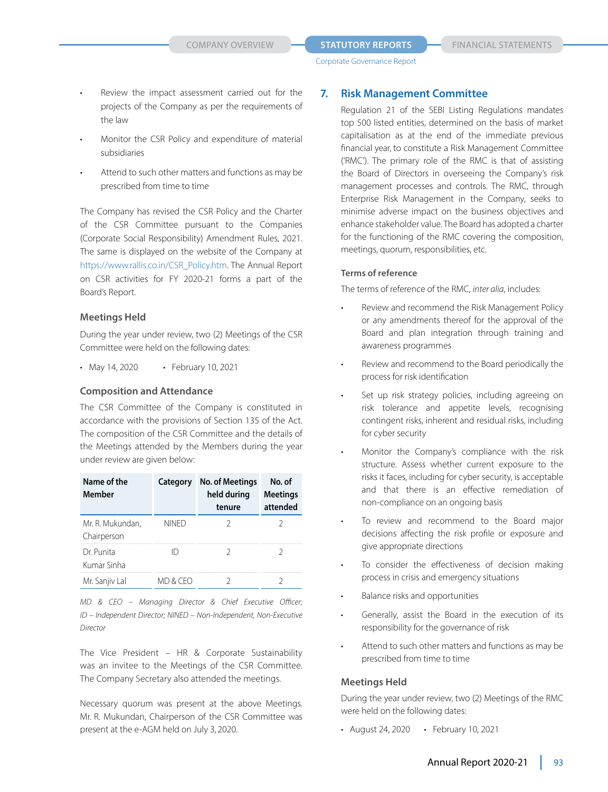- Review the impact assessment carried out for the projects of the Company as per the requirements of the law
- Monitor the CSR Policy and expenditure of material subsidiaries
- Attend to such other matters and functions as may be prescribed from time to time

 The Company has revised the CSR Policy and the Charter of the CSR Committee pursuant to the Companies (Corporate Social Responsibility) Amendment Rules, 2021. The same is displayed on the website of the Company at https://www.rallis.co.in/CSR\_Policy.htm. The Annual Report on CSR activities for FY 2020-21 forms a part of the Board's Report.

#### **Meetings Held**

 During the year under review, two (2) Meetings of the CSR Committee were held on the following dates:

• May 14, 2020 • February 10, 2021

#### **Composition and Attendance**

 The CSR Committee of the Company is constituted in accordance with the provisions of Section 135 of the Act. The composition of the CSR Committee and the details of the Meetings attended by the Members during the year under review are given below:

| Name of the<br>Member           | Category     | No. of Meetings<br>held during<br>tenure | No. of<br><b>Meetings</b><br>attended |
|---------------------------------|--------------|------------------------------------------|---------------------------------------|
| Mr. R. Mukundan,<br>Chairperson | <b>NINFD</b> |                                          |                                       |
| Dr. Punita<br>Kumar Sinha       |              |                                          |                                       |
| Mr. Sanjiv Lal                  | MD & CEO     |                                          |                                       |

 *MD & CEO – Managing Director & Chief Executive Officer; ID – Independent Director; NINED – Non-Independent, Non-Executive Director*

 The Vice President – HR & Corporate Sustainability was an invitee to the Meetings of the CSR Committee. The Company Secretary also attended the meetings.

 Necessary quorum was present at the above Meetings. Mr. R. Mukundan, Chairperson of the CSR Committee was present at the e-AGM held on July 3, 2020.

# **7. Risk Management Committee**

 Regulation 21 of the SEBI Listing Regulations mandates top 500 listed entities, determined on the basis of market capitalisation as at the end of the immediate previous financial year, to constitute a Risk Management Committee ('RMC'). The primary role of the RMC is that of assisting the Board of Directors in overseeing the Company's risk management processes and controls. The RMC, through Enterprise Risk Management in the Company, seeks to minimise adverse impact on the business objectives and enhance stakeholder value. The Board has adopted a charter for the functioning of the RMC covering the composition, meetings, quorum, responsibilities, etc.

#### **Terms of reference**

The terms of reference of the RMC, *inter alia*, includes:

- Review and recommend the Risk Management Policy or any amendments thereof for the approval of the Board and plan integration through training and awareness programmes
- Review and recommend to the Board periodically the process for risk identification
- Set up risk strategy policies, including agreeing on risk tolerance and appetite levels, recognising contingent risks, inherent and residual risks, including for cyber security
- Monitor the Company's compliance with the risk structure. Assess whether current exposure to the risks it faces, including for cyber security, is acceptable and that there is an effective remediation of non-compliance on an ongoing basis
- To review and recommend to the Board major decisions affecting the risk profile or exposure and give appropriate directions
- To consider the effectiveness of decision making process in crisis and emergency situations
- Balance risks and opportunities
- Generally, assist the Board in the execution of its responsibility for the governance of risk
- Attend to such other matters and functions as may be prescribed from time to time

#### **Meetings Held**

 During the year under review, two (2) Meetings of the RMC were held on the following dates:

• August 24, 2020 • February 10, 2021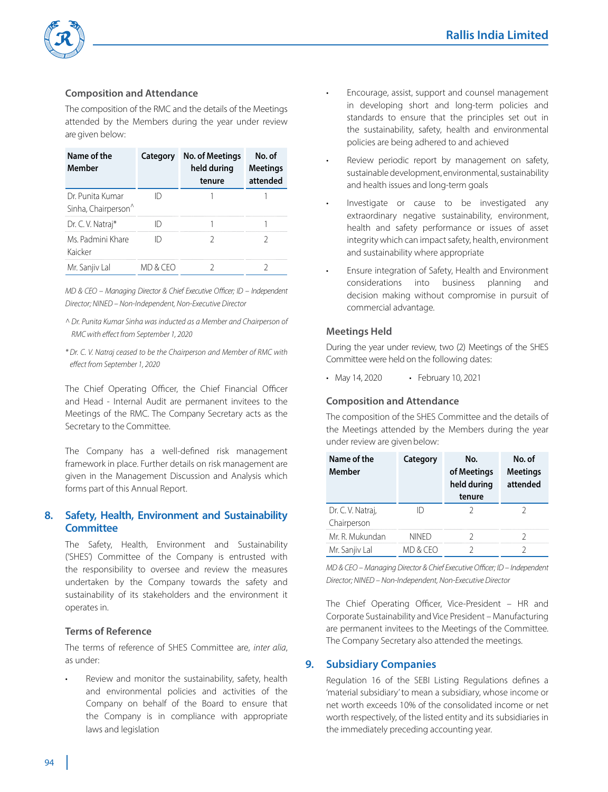

# **Composition and Attendance**

 The composition of the RMC and the details of the Meetings attended by the Members during the year under review are given below:

| Name of the<br>Member                               | Category | <b>No. of Meetings</b><br>held during<br>tenure | No. of<br><b>Meetings</b><br>attended |
|-----------------------------------------------------|----------|-------------------------------------------------|---------------------------------------|
| Dr. Punita Kumar<br>Sinha, Chairperson <sup>^</sup> |          |                                                 |                                       |
| Dr. C. V. Natraj*                                   |          |                                                 |                                       |
| Ms Padmini Khare<br>Kaicker                         |          |                                                 |                                       |
| Mr. Sanjiv Lal                                      | MD & CFO |                                                 |                                       |

*MD & CEO – Managing Director & Chief Executive Officer; ID – Independent Director; NINED – Non-Independent, Non-Executive Director*

- *^ Dr. Punita Kumar Sinha was inducted as a Member and Chairperson of RMC with effect from September 1, 2020*
- *\* Dr. C. V. Natraj ceased to be the Chairperson and Member of RMC with effect from September 1, 2020*

The Chief Operating Officer, the Chief Financial Officer and Head - Internal Audit are permanent invitees to the Meetings of the RMC. The Company Secretary acts as the Secretary to the Committee.

 The Company has a well-defined risk management framework in place. Further details on risk management are given in the Management Discussion and Analysis which forms part of this Annual Report.

# **8. Safety, Health, Environment and Sustainability Committee**

 The Safety, Health, Environment and Sustainability ('SHES') Committee of the Company is entrusted with the responsibility to oversee and review the measures undertaken by the Company towards the safety and sustainability of its stakeholders and the environment it operates in.

#### **Terms of Reference**

 The terms of reference of SHES Committee are, *inter alia*, as under:

Review and monitor the sustainability, safety, health and environmental policies and activities of the Company on behalf of the Board to ensure that the Company is in compliance with appropriate laws and legislation

- Encourage, assist, support and counsel management in developing short and long-term policies and standards to ensure that the principles set out in the sustainability, safety, health and environmental policies are being adhered to and achieved
- Review periodic report by management on safety, sustainable development, environmental, sustainability and health issues and long-term goals
- Investigate or cause to be investigated any extraordinary negative sustainability, environment, health and safety performance or issues of asset integrity which can impact safety, health, environment and sustainability where appropriate
- Ensure integration of Safety, Health and Environment considerations into business planning and decision making without compromise in pursuit of commercial advantage.

#### **Meetings Held**

 During the year under review, two (2) Meetings of the SHES Committee were held on the following dates:

• May 14, 2020 • February 10, 2021

#### **Composition and Attendance**

 The composition of the SHES Committee and the details of the Meetings attended by the Members during the year under review are given below:

| Name of the<br>Member            | Category | No.<br>of Meetings<br>held during<br>tenure | No. of<br><b>Meetings</b><br>attended |
|----------------------------------|----------|---------------------------------------------|---------------------------------------|
| Dr. C. V. Natraj,<br>Chairperson |          |                                             |                                       |
|                                  |          |                                             |                                       |
| Mr. R. Mukundan                  | NINFD    |                                             |                                       |
| Mr. Sanjiv Lal                   | MD & CFO |                                             |                                       |

 *MD & CEO – Managing Director & Chief Executive Officer; ID – Independent Director; NINED – Non-Independent, Non-Executive Director*

 The Chief Operating Officer, Vice-President – HR and Corporate Sustainability and Vice President – Manufacturing are permanent invitees to the Meetings of the Committee. The Company Secretary also attended the meetings.

#### **9. Subsidiary Companies**

 Regulation 16 of the SEBI Listing Regulations defines a 'material subsidiary' to mean a subsidiary, whose income or net worth exceeds 10% of the consolidated income or net worth respectively, of the listed entity and its subsidiaries in the immediately preceding accounting year.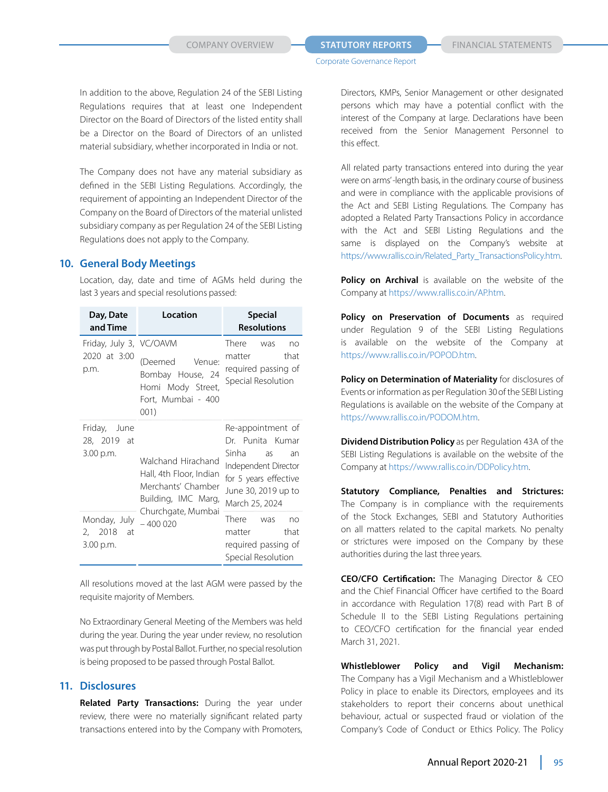In addition to the above, Regulation 24 of the SEBI Listing Regulations requires that at least one Independent Director on the Board of Directors of the listed entity shall be a Director on the Board of Directors of an unlisted material subsidiary, whether incorporated in India or not.

 The Company does not have any material subsidiary as defined in the SEBI Listing Regulations. Accordingly, the requirement of appointing an Independent Director of the Company on the Board of Directors of the material unlisted subsidiary company as per Regulation 24 of the SEBI Listing Regulations does not apply to the Company.

#### **10. General Body Meetings**

 Location, day, date and time of AGMs held during the last 3 years and special resolutions passed:

| Day, Date<br>and Time                           | Location                                                                                   | <b>Special</b><br><b>Resolutions</b>                                                                                                                 |
|-------------------------------------------------|--------------------------------------------------------------------------------------------|------------------------------------------------------------------------------------------------------------------------------------------------------|
| Friday, July 3, VC/OAVM<br>2020 at 3:00<br>p.m. | (Deemed<br>Venue:<br>Bombay House, 24<br>Homi Mody Street,<br>Fort, Mumbai - 400<br>001)   | There was<br>no<br>that<br>matter<br>required passing of<br>Special Resolution                                                                       |
| Friday, June<br>28, 2019 at<br>3.00 p.m.        | Walchand Hirachand<br>Hall, 4th Floor, Indian<br>Merchants' Chamber<br>Building, IMC Marg, | Re-appointment of<br>Dr. Punita Kumar<br>Sinha<br>as<br>an<br>Independent Director<br>for 5 years effective<br>June 30, 2019 up to<br>March 25, 2024 |
| Monday, July<br>2, 2018<br>- at<br>3.00 p.m.    | Churchgate, Mumbai<br>$-4000020$                                                           | There<br>was<br>no<br>that<br>matter<br>required passing of<br>Special Resolution                                                                    |

 All resolutions moved at the last AGM were passed by the requisite majority of Members.

No Extraordinary General Meeting of the Members was held during the year. During the year under review, no resolution was put through by Postal Ballot. Further, no special resolution is being proposed to be passed through Postal Ballot.

### **11. Disclosures**

 **Related Party Transactions:** During the year under review, there were no materially significant related party transactions entered into by the Company with Promoters,

Directors, KMPs, Senior Management or other designated persons which may have a potential conflict with the interest of the Company at large. Declarations have been received from the Senior Management Personnel to this effect.

 All related party transactions entered into during the year were on arms' -length basis, in the ordinary course of business and were in compliance with the applicable provisions of the Act and SEBI Listing Regulations. The Company has adopted a Related Party Transactions Policy in accordance with the Act and SEBI Listing Regulations and the same is displayed on the Company's website at https://www.rallis.co.in/Related\_Party\_TransactionsPolicy.htm.

Policy on Archival is available on the website of the Company at https://www.rallis.co.in/AP.htm.

 **Policy on Preservation of Documents** as required under Regulation 9 of the SEBI Listing Regulations is available on the website of the Company at https://www.rallis.co.in/POPOD.htm.

 **Policy on Determination of Materiality** for disclosures of Events or information as per Regulation 30 of the SEBI Listing Regulations is available on the website of the Company at https://www.rallis.co.in/PODOM.htm.

 **Dividend Distribution Policy** as per Regulation 43A of the SEBI Listing Regulations is available on the website of the Company at https://www.rallis.co.in/DDPolicy.htm.

 **Statutory Compliance, Penalties and Strictures:**  The Company is in compliance with the requirements of the Stock Exchanges, SEBI and Statutory Authorities on all matters related to the capital markets. No penalty or strictures were imposed on the Company by these authorities during the last three years.

 **CEO/CFO Certification:** The Managing Director & CEO and the Chief Financial Officer have certified to the Board in accordance with Regulation 17(8) read with Part B of Schedule II to the SEBI Listing Regulations pertaining to CEO/CFO certification for the financial year ended March 31, 2021.

 **Whistleblower Policy and Vigil Mechanism:**  The Company has a Vigil Mechanism and a Whistleblower Policy in place to enable its Directors, employees and its stakeholders to report their concerns about unethical behaviour, actual or suspected fraud or violation of the Company's Code of Conduct or Ethics Policy. The Policy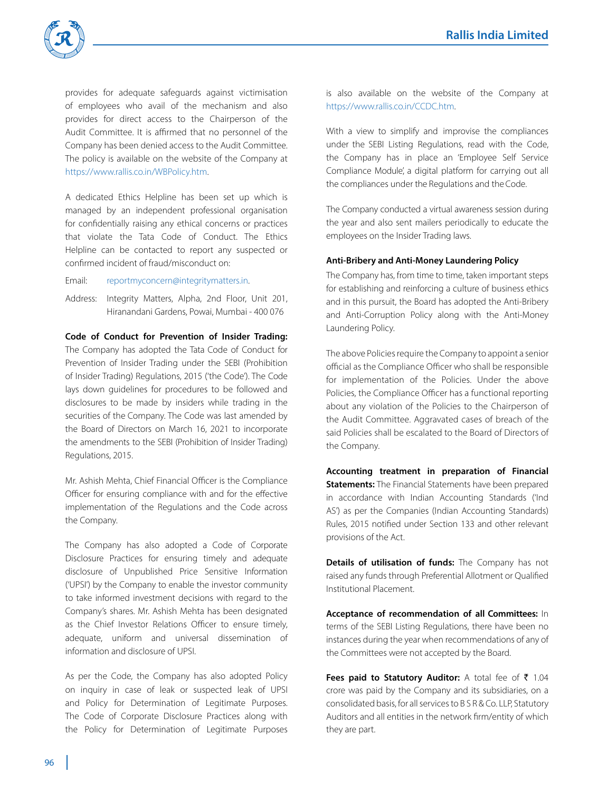

provides for adequate safeguards against victimisation of employees who avail of the mechanism and also provides for direct access to the Chairperson of the Audit Committee. It is affirmed that no personnel of the Company has been denied access to the Audit Committee. The policy is available on the website of the Company at https://www.rallis.co.in/WBPolicy.htm.

 A dedicated Ethics Helpline has been set up which is managed by an independent professional organisation for confidentially raising any ethical concerns or practices that violate the Tata Code of Conduct. The Ethics Helpline can be contacted to report any suspected or confirmed incident of fraud/misconduct on:

Email: reportmyconcern@integritymatters.in.

Address: Integrity Matters, Alpha, 2nd Floor, Unit 201, Hiranandani Gardens, Powai, Mumbai - 400 076

 **Code of Conduct for Prevention of Insider Trading:**  The Company has adopted the Tata Code of Conduct for Prevention of Insider Trading under the SEBI (Prohibition of Insider Trading) Regulations, 2015 ('the Code'). The Code lays down guidelines for procedures to be followed and disclosures to be made by insiders while trading in the securities of the Company. The Code was last amended by the Board of Directors on March 16, 2021 to incorporate the amendments to the SEBI (Prohibition of Insider Trading) Regulations, 2015.

 Mr. Ashish Mehta, Chief Financial Officer is the Compliance Officer for ensuring compliance with and for the effective implementation of the Regulations and the Code across the Company.

 The Company has also adopted a Code of Corporate Disclosure Practices for ensuring timely and adequate disclosure of Unpublished Price Sensitive Information ('UPSI') by the Company to enable the investor community to take informed investment decisions with regard to the Company's shares. Mr. Ashish Mehta has been designated as the Chief Investor Relations Officer to ensure timely, adequate, uniform and universal dissemination of information and disclosure of UPSI.

 As per the Code, the Company has also adopted Policy on inquiry in case of leak or suspected leak of UPSI and Policy for Determination of Legitimate Purposes. The Code of Corporate Disclosure Practices along with the Policy for Determination of Legitimate Purposes

is also available on the website of the Company at https://www.rallis.co.in/CCDC.htm.

 With a view to simplify and improvise the compliances under the SEBI Listing Regulations, read with the Code, the Company has in place an 'Employee Self Service Compliance Module', a digital platform for carrying out all the compliances under the Regulations and the Code.

 The Company conducted a virtual awareness session during the year and also sent mailers periodically to educate the employees on the Insider Trading laws.

#### **Anti-Bribery and Anti-Money Laundering Policy**

 The Company has, from time to time, taken important steps for establishing and reinforcing a culture of business ethics and in this pursuit, the Board has adopted the Anti-Bribery and Anti-Corruption Policy along with the Anti-Money Laundering Policy.

 The above Policies require the Company to appoint a senior official as the Compliance Officer who shall be responsible for implementation of the Policies. Under the above Policies, the Compliance Officer has a functional reporting about any violation of the Policies to the Chairperson of the Audit Committee. Aggravated cases of breach of the said Policies shall be escalated to the Board of Directors of the Company.

 **Accounting treatment in preparation of Financial Statements:** The Financial Statements have been prepared in accordance with Indian Accounting Standards ('Ind AS') as per the Companies (Indian Accounting Standards) Rules, 2015 notified under Section 133 and other relevant provisions of the Act.

 **Details of utilisation of funds:** The Company has not raised any funds through Preferential Allotment or Qualified Institutional Placement.

 **Acceptance of recommendation of all Committees:** In terms of the SEBI Listing Regulations, there have been no instances during the year when recommendations of any of the Committees were not accepted by the Board.

Fees paid to Statutory Auditor: A total fee of ₹ 1.04 crore was paid by the Company and its subsidiaries, on a consolidated basis, for all services to B S R & Co. LLP, Statutory Auditors and all entities in the network firm/entity of which they are part.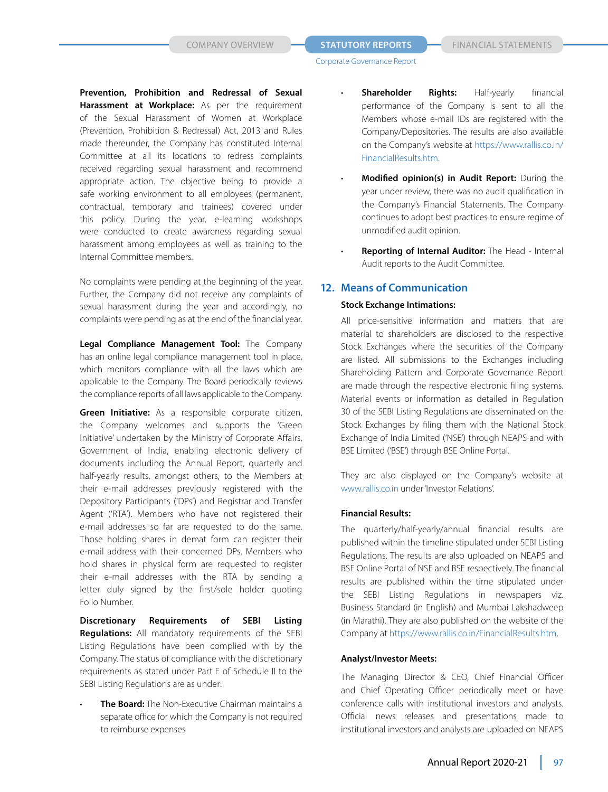**Prevention, Prohibition and Redressal of Sexual Harassment at Workplace:** As per the requirement of the Sexual Harassment of Women at Workplace (Prevention, Prohibition & Redressal) Act, 2013 and Rules made thereunder, the Company has constituted Internal Committee at all its locations to redress complaints received regarding sexual harassment and recommend appropriate action. The objective being to provide a safe working environment to all employees (permanent, contractual, temporary and trainees) covered under this policy. During the year, e-learning workshops were conducted to create awareness regarding sexual harassment among employees as well as training to the Internal Committee members.

 No complaints were pending at the beginning of the year. Further, the Company did not receive any complaints of sexual harassment during the year and accordingly, no complaints were pending as at the end of the financial year.

 **Legal Compliance Management Tool:** The Company has an online legal compliance management tool in place, which monitors compliance with all the laws which are applicable to the Company. The Board periodically reviews the compliance reports of all laws applicable to the Company.

 **Green Initiative:** As a responsible corporate citizen, the Company welcomes and supports the 'Green Initiative' undertaken by the Ministry of Corporate Affairs, Government of India, enabling electronic delivery of documents including the Annual Report, quarterly and half-yearly results, amongst others, to the Members at their e-mail addresses previously registered with the Depository Participants ('DPs') and Registrar and Transfer Agent ('RTA'). Members who have not registered their e-mail addresses so far are requested to do the same. Those holding shares in demat form can register their e-mail address with their concerned DPs. Members who hold shares in physical form are requested to register their e-mail addresses with the RTA by sending a letter duly signed by the first/sole holder quoting Folio Number.

 **Discretionary Requirements of SEBI Listing Regulations:** All mandatory requirements of the SEBI Listing Regulations have been complied with by the Company. The status of compliance with the discretionary requirements as stated under Part E of Schedule II to the SEBI Listing Regulations are as under:

**The Board:** The Non-Executive Chairman maintains a separate office for which the Company is not required to reimburse expenses

- **Shareholder Rights:** Half-yearly financial performance of the Company is sent to all the Members whose e-mail IDs are registered with the Company/Depositories. The results are also available on the Company's website at https://www.rallis.co.in/ FinancialResults.htm.
- **Modified opinion(s) in Audit Report:** During the year under review, there was no audit qualification in the Company's Financial Statements. The Company continues to adopt best practices to ensure regime of unmodified audit opinion.
- Reporting of Internal Auditor: The Head Internal Audit reports to the Audit Committee.

# **12. Means of Communication**

#### **Stock Exchange Intimations:**

All price-sensitive information and matters that are material to shareholders are disclosed to the respective Stock Exchanges where the securities of the Company are listed. All submissions to the Exchanges including Shareholding Pattern and Corporate Governance Report are made through the respective electronic filing systems. Material events or information as detailed in Regulation 30 of the SEBI Listing Regulations are disseminated on the Stock Exchanges by filing them with the National Stock Exchange of India Limited ('NSE') through NEAPS and with BSE Limited ('BSE') through BSE Online Portal.

 They are also displayed on the Company's website at www.rallis.co.in under 'Investor Relations'.

#### **Financial Results:**

 The quarterly/half-yearly/annual financial results are published within the timeline stipulated under SEBI Listing Regulations. The results are also uploaded on NEAPS and BSE Online Portal of NSE and BSE respectively. The financial results are published within the time stipulated under the SEBI Listing Regulations in newspapers viz. Business Standard (in English) and Mumbai Lakshadweep (in Marathi). They are also published on the website of the Company at https://www.rallis.co.in/FinancialResults.htm.

#### **Analyst/Investor Meets:**

The Managing Director & CEO, Chief Financial Officer and Chief Operating Officer periodically meet or have conference calls with institutional investors and analysts. Official news releases and presentations made to institutional investors and analysts are uploaded on NEAPS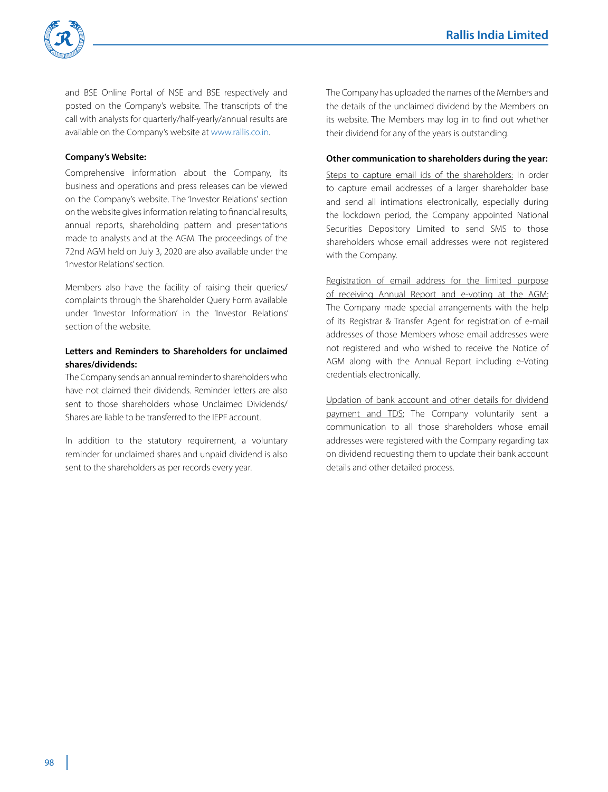

and BSE Online Portal of NSE and BSE respectively and posted on the Company's website. The transcripts of the call with analysts for quarterly/half-yearly/annual results are available on the Company's website at www.rallis.co.in.

### **Company's Website:**

Comprehensive information about the Company, its business and operations and press releases can be viewed on the Company's website. The 'Investor Relations' section on the website gives information relating to financial results, annual reports, shareholding pattern and presentations made to analysts and at the AGM. The proceedings of the 72nd AGM held on July 3, 2020 are also available under the 'Investor Relations' section.

 Members also have the facility of raising their queries/ complaints through the Shareholder Query Form available under 'Investor Information' in the 'Investor Relations' section of the website.

### **Letters and Reminders to Shareholders for unclaimed shares/dividends:**

The Company sends an annual reminder to shareholders who have not claimed their dividends. Reminder letters are also sent to those shareholders whose Unclaimed Dividends/ Shares are liable to be transferred to the IEPF account.

 In addition to the statutory requirement, a voluntary reminder for unclaimed shares and unpaid dividend is also sent to the shareholders as per records every year.

 The Company has uploaded the names of the Members and the details of the unclaimed dividend by the Members on its website. The Members may log in to find out whether their dividend for any of the years is outstanding.

#### **Other communication to shareholders during the year:**

Steps to capture email ids of the shareholders: In order to capture email addresses of a larger shareholder base and send all intimations electronically, especially during the lockdown period, the Company appointed National Securities Depository Limited to send SMS to those shareholders whose email addresses were not registered with the Company.

 Registration of email address for the limited purpose of receiving Annual Report and e-voting at the AGM: The Company made special arrangements with the help of its Registrar & Transfer Agent for registration of e-mail addresses of those Members whose email addresses were not registered and who wished to receive the Notice of AGM along with the Annual Report including e-Voting credentials electronically.

Updation of bank account and other details for dividend payment and TDS: The Company voluntarily sent a communication to all those shareholders whose email addresses were registered with the Company regarding tax on dividend requesting them to update their bank account details and other detailed process.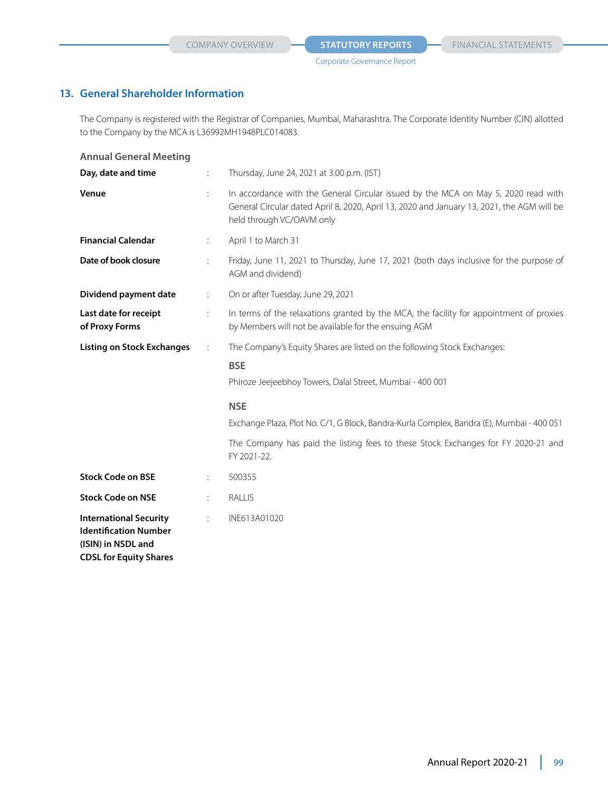# **13. General Shareholder Information**

 The Company is registered with the Registrar of Companies, Mumbai, Maharashtra. The Corporate Identity Number (CIN) allotted to the Company by the MCA is L36992MH1948PLC014083.

| <b>Annual General Meeting</b>                                                                                        |              |                                                                                                                                                                                                               |
|----------------------------------------------------------------------------------------------------------------------|--------------|---------------------------------------------------------------------------------------------------------------------------------------------------------------------------------------------------------------|
| Day, date and time                                                                                                   | ÷            | Thursday, June 24, 2021 at 3.00 p.m. (IST)                                                                                                                                                                    |
| Venue                                                                                                                | ÷            | In accordance with the General Circular issued by the MCA on May 5, 2020 read with<br>General Circular dated April 8, 2020, April 13, 2020 and January 13, 2021, the AGM will be<br>held through VC/OAVM only |
| <b>Financial Calendar</b>                                                                                            | ÷            | April 1 to March 31                                                                                                                                                                                           |
| Date of book closure                                                                                                 | ÷            | Friday, June 11, 2021 to Thursday, June 17, 2021 (both days inclusive for the purpose of<br>AGM and dividend)                                                                                                 |
| Dividend payment date                                                                                                | ÷            | On or after Tuesday, June 29, 2021                                                                                                                                                                            |
| Last date for receipt<br>of Proxy Forms                                                                              | ÷.           | In terms of the relaxations granted by the MCA, the facility for appointment of proxies<br>by Members will not be available for the ensuing AGM                                                               |
| <b>Listing on Stock Exchanges</b>                                                                                    | $\therefore$ | The Company's Equity Shares are listed on the following Stock Exchanges:                                                                                                                                      |
|                                                                                                                      |              | <b>BSE</b>                                                                                                                                                                                                    |
|                                                                                                                      |              | Phiroze Jeejeebhoy Towers, Dalal Street, Mumbai - 400 001                                                                                                                                                     |
|                                                                                                                      |              | <b>NSE</b>                                                                                                                                                                                                    |
|                                                                                                                      |              | Exchange Plaza, Plot No. C/1, G Block, Bandra-Kurla Complex, Bandra (E), Mumbai - 400 051                                                                                                                     |
|                                                                                                                      |              | The Company has paid the listing fees to these Stock Exchanges for FY 2020-21 and<br>FY 2021-22.                                                                                                              |
| <b>Stock Code on BSE</b>                                                                                             | ÷            | 500355                                                                                                                                                                                                        |
| <b>Stock Code on NSE</b>                                                                                             | ÷            | RALLIS                                                                                                                                                                                                        |
| <b>International Security</b><br><b>Identification Number</b><br>(ISIN) in NSDL and<br><b>CDSL for Equity Shares</b> | ÷            | INE613A01020                                                                                                                                                                                                  |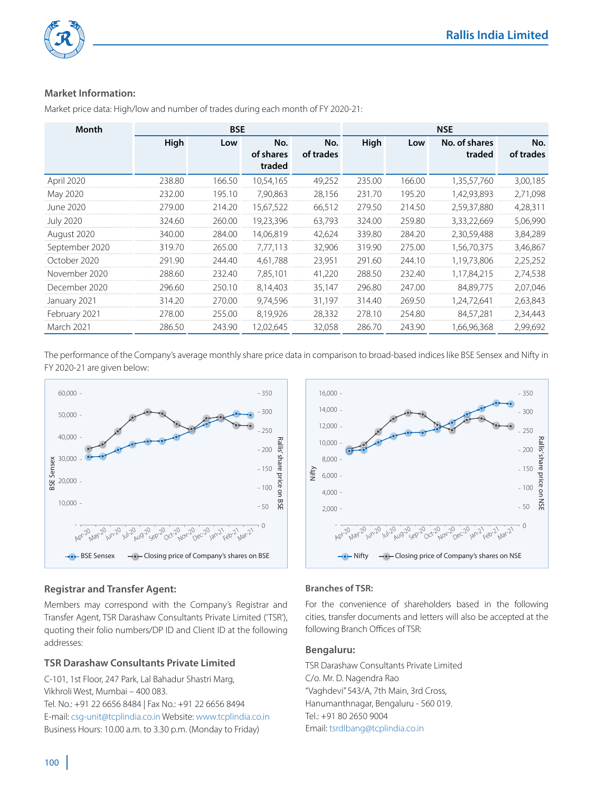

# **Market Information: Information:**

| <b>Month</b>                                                                                                                        | <b>BSE</b> |        |                            |                  | <b>NSE</b> |        |                         |                  |
|-------------------------------------------------------------------------------------------------------------------------------------|------------|--------|----------------------------|------------------|------------|--------|-------------------------|------------------|
|                                                                                                                                     | High       | Low    | No.<br>of shares<br>traded | No.<br>of trades | High       | Low    | No. of shares<br>traded | No.<br>of trades |
| April 2020                                                                                                                          | 238.80     | 166.50 | 10,54,165                  | 49,252           | 235.00     | 166.00 | 1,35,57,760             | 3,00,185         |
| May 2020                                                                                                                            | 232.00     | 195.10 | 7,90,863                   | 28,156           | 231.70     | 195.20 | 1,42,93,893             | 2,71,098         |
| June 2020                                                                                                                           | 279.00     | 214.20 | 15,67,522                  | 66,512           | 279.50     | 214.50 | 2,59,37,880             | 4,28,311         |
| <b>July 2020</b>                                                                                                                    | 324.60     | 260.00 | 19,23,396                  | 63,793           | 324.00     | 259.80 | 3,33,22,669             | 5,06,990         |
| August 2020                                                                                                                         | 340.00     | 284.00 | 14,06,819                  | 42,624           | 339.80     | 284.20 | 2,30,59,488             | 3,84,289         |
| September 2020                                                                                                                      | 319.70     | 265.00 | 7,77,113                   | 32,906           | 319.90     | 275.00 | 1,56,70,375             | 3,46,867         |
| October 2020                                                                                                                        | 291.90     | 244.40 | 4,61,788                   | 23,951           | 291.60     | 244.10 | 1,19,73,806             | 2,25,252         |
| November 2020                                                                                                                       | 288.60     | 232.40 | 7,85,101                   | 41,220           | 288.50     | 232.40 | 1,17,84,215             | 2,74,538         |
| December 2020                                                                                                                       | 296.60     | 250.10 | 8,14,403                   | 35,147           | 296.80     | 247.00 | 84,89,775               | 2,07,046         |
| January 2021                                                                                                                        | 314.20     | 270.00 | 9,74,596                   | 31,197           | 314.40     | 269.50 | 1,24,72,641             | 2,63,843         |
| February 2021                                                                                                                       | 278.00     | 255.00 | 8,19,926                   | 28,332           | 278.10     | 254.80 | 84,57,281               | 2,34,443         |
| March 2021                                                                                                                          | 286.50     | 243.90 | 12,02,645                  | 32,058           | 286.70     | 243.90 | 1,66,96,368             | 2,99,692         |
| The performance of the Company's average monthly share price data in comparison to broad-based indices like BSE Sensex and Nifty in |            |        |                            |                  |            |        |                         |                  |

Market price data: High/low and number of trades during each month of FY 2020-21: Market price data: High/low and number of trades during each month of FY 2020-21:

The performance of the Company's average monthly share price data in comparison to broad-based indices like BSE Sensex and Nifty in FY 2020-21 are given below: FY 2020-21 are given below:





# **Registrar and Transfer Agent: Registrar and Transfer Agent:**

Members may correspond with the Company's Registrar and Transfer Agent, TSR Darashaw Consultants Private Limited ('TSR'), quoting their folio numbers/DP ID and Client ID at the following addresses: Members may correspond with the Company's Registrar and<br>Transfer Agent, TSR Darashaw Consultants Private Limited ('TSR'),<br>quoting their folio numbers/DP ID and Client ID at the following<br>addresses:

# **TSR Darashaw Consultants Private Limited Consultants Private**

C-101, 1st Floor, 247 Park, Lal Bahadur Shastri Marg, Vikhroli West, Mumbai – 400 083. Tel. No.: +91 22 6656 8484 | Fax No.: +91 22 6656 8494 E-mail: csg-unit@tcplindia.co.in Website: www.tcplindia.co.in Business Hours: 10.00 a.m. to 3.30 p.m. (Monday to Friday) **Registrar and Transfer Agent:**<br>
Members may correspond with the Company's Registrar and<br>
Transfer Agent, TSR Darashaw Consultants Private Limited (TSR),<br>
Transfer Agent, TSR Darashaw Consultants Private Limited (TSR),<br>
ad BSE Sensex - - - Closing price of Company's shares on BSE<br>
1 and **Transfer Agent:**<br>
1 and **Transfer Agent:**<br>
Transfer Agent:<br>
May correspond with the Company's Registrar and For the convenience of shareholders by<br>
1 and Tr

# **Branches of TSR:**

For the convenience of shareholders based in the following cities, transfer documents and letters will also be accepted at the cities, transfer documents and letters will also be accepted at the following Branch Offices of TSR:

# **Bengaluru: Bengaluru:**

TSR Darashaw Consultants Private Limited C/o. Mr. D. Nagendra Rao "Vaghdevi" 543/A, 7th Main, 3rd Cross, Hanumanthnagar, Bengaluru - 560 019. Tel.: +91 80 2650 9004 Email: tsrdlbang@tcplindia.co.in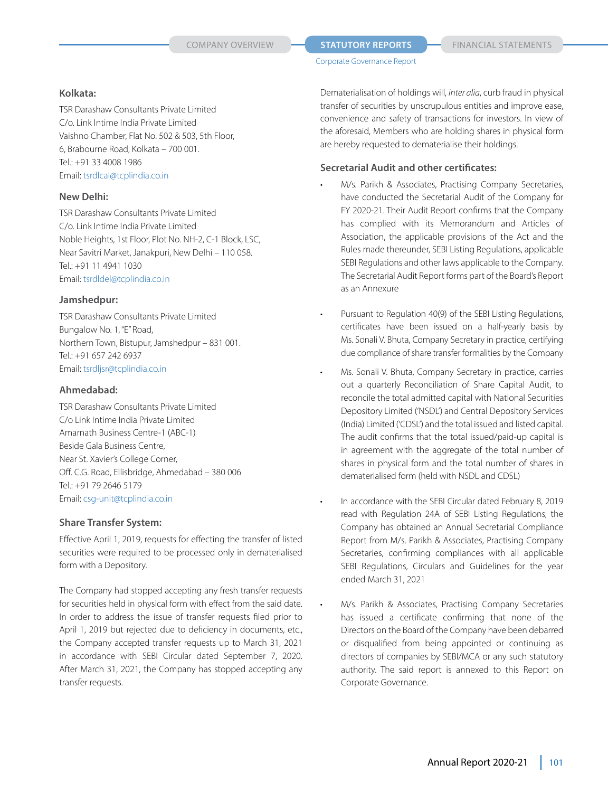**COMPANY OVERVIEW <b>STATUTORY REPORTS** FINANCIAL STATEMENTS

#### **Kolkata:**

TSR Darashaw Consultants Private Limited C/o. Link Intime India Private Limited Vaishno Chamber, Flat No. 502 & 503, 5th Floor, 6, Brabourne Road, Kolkata – 700 001. Tel.: +91 33 4008 1986 Email: tsrdlcal@tcplindia.co.in

# **New Delhi:**

TSR Darashaw Consultants Private Limited C/o. Link Intime India Private Limited Noble Heights, 1st Floor, Plot No. NH-2, C-1 Block, LSC, Near Savitri Market, Janakpuri, New Delhi – 110 058. Tel.: +91 11 4941 1030 Email: tsrdldel@tcplindia.co.in

# **Jamshedpur:**

TSR Darashaw Consultants Private Limited Bungalow No. 1, "E" Road, Northern Town, Bistupur, Jamshedpur – 831 001. Tel.: +91 657 242 6937 Email: tsrdljsr@tcplindia.co.in

# **Ahmedabad:**

TSR Darashaw Consultants Private Limited C/o Link Intime India Private Limited Amarnath Business Centre-1 (ABC-1) Beside Gala Business Centre, Near St. Xavier's College Corner, Off. C.G. Road, Ellisbridge, Ahmedabad – 380 006 Tel.: +91 79 2646 5179 Email: csg-unit@tcplindia.co.in

# **Share Transfer System:**

Effective April 1, 2019, requests for effecting the transfer of listed securities were required to be processed only in dematerialised form with a Depository.

The Company had stopped accepting any fresh transfer requests for securities held in physical form with effect from the said date. In order to address the issue of transfer requests filed prior to April 1, 2019 but rejected due to deficiency in documents, etc., the Company accepted transfer requests up to March 31, 2021 in accordance with SEBI Circular dated September 7, 2020. After March 31, 2021, the Company has stopped accepting any transfer requests.

Dematerialisation of holdings will, *inter alia*, curb fraud in physical transfer of securities by unscrupulous entities and improve ease, convenience and safety of transactions for investors. In view of the aforesaid, Members who are holding shares in physical form are hereby requested to dematerialise their holdings.

# **Secretarial Audit and other certificates:**

- M/s. Parikh & Associates, Practising Company Secretaries, have conducted the Secretarial Audit of the Company for FY 2020-21. Their Audit Report confirms that the Company has complied with its Memorandum and Articles of Association, the applicable provisions of the Act and the Rules made thereunder, SEBI Listing Regulations, applicable SEBI Regulations and other laws applicable to the Company. The Secretarial Audit Report forms part of the Board's Report as an Annexure
- Pursuant to Regulation 40(9) of the SEBI Listing Regulations, certificates have been issued on a half-yearly basis by Ms. Sonali V. Bhuta, Company Secretary in practice, certifying due compliance of share transfer formalities by the Company
- Ms. Sonali V. Bhuta, Company Secretary in practice, carries out a quarterly Reconciliation of Share Capital Audit, to reconcile the total admitted capital with National Securities Depository Limited ('NSDL') and Central Depository Services (India) Limited ('CDSL') and the total issued and listed capital. The audit confirms that the total issued/paid-up capital is in agreement with the aggregate of the total number of shares in physical form and the total number of shares in dematerialised form (held with NSDL and CDSL)
	- In accordance with the SEBI Circular dated February 8, 2019 read with Regulation 24A of SEBI Listing Regulations, the Company has obtained an Annual Secretarial Compliance Report from M/s. Parikh & Associates, Practising Company Secretaries, confirming compliances with all applicable SEBI Regulations, Circulars and Guidelines for the year ended March 31, 2021
	- M/s. Parikh & Associates, Practising Company Secretaries has issued a certificate confirming that none of the Directors on the Board of the Company have been debarred or disqualified from being appointed or continuing as directors of companies by SEBI/MCA or any such statutory authority. The said report is annexed to this Report on Corporate Governance.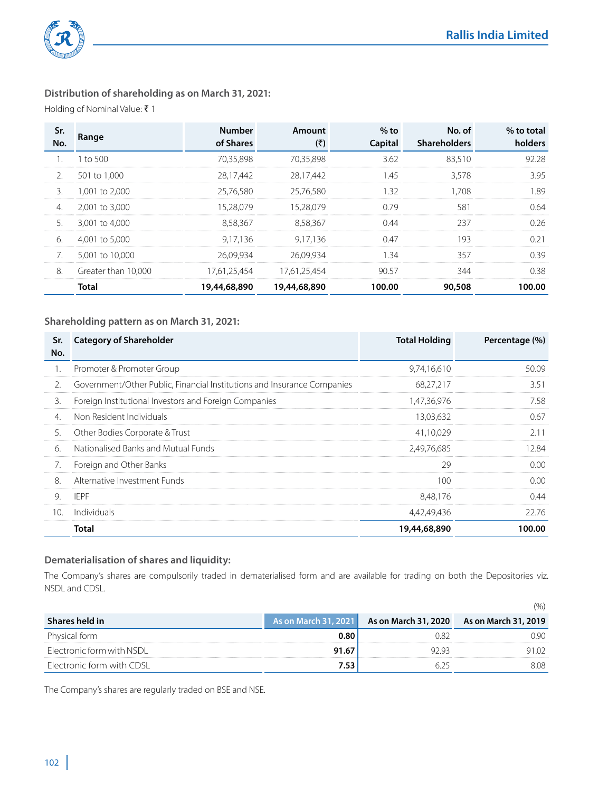

# **Distribution of shareholding as on March 31, 2021:**

Holding of Nominal Value:  $\bar{\tau}$  1

| Sr.<br>No.    | Range               | <b>Number</b><br>of Shares | Amount<br>(₹) | $%$ to<br>Capital | No. of<br><b>Shareholders</b> | % to total<br>holders |
|---------------|---------------------|----------------------------|---------------|-------------------|-------------------------------|-----------------------|
|               | $1$ to $500$        | 70.35.898                  | 70.35.898     | 3.62              | 83.510                        | 92.28                 |
| $\mathcal{L}$ | 501 to 1.000        | 28.17.442                  | 28.17.442     | 145               | 3.578                         | 3.95                  |
| 3.            | 1.001 to 2.000      | 25.76.580                  | 25.76.580     | .32               | 1.708                         | 1.89                  |
| 4.            | 2,001 to 3,000      | 15.28.079                  | 15.28.079     | 0.79              | 581                           | 0.64                  |
| 5.            | 3,001 to 4,000      | 8.58.367                   | 8.58.367      | 0.44              | 237                           | 0.26                  |
| 6.            | 4.001 to 5.000      | 9.17.136                   | 9.17.136      | 0.47              | 193                           | 0.21                  |
| 7.            | 5,001 to 10,000     | 26.09.934                  | 26.09.934     | -34               | 357                           | 0.39                  |
| 8.            | Greater than 10.000 | 17.61.25.454               | 17.61.25.454  | 9057              | 344                           | 0.38                  |
|               | <b>Total</b>        | 19,44,68,890               | 19,44,68,890  | 100.00            | 90,508                        | 100.00                |

# **Shareholding pattern as on March 31, 2021:**

| Sr.<br>No.       | <b>Category of Shareholder</b>                                          | <b>Total Holding</b> | Percentage (%) |
|------------------|-------------------------------------------------------------------------|----------------------|----------------|
|                  | Promoter & Promoter Group                                               | 9,74,16,610          | 50.09          |
| $\mathfrak{D}$ . | Government/Other Public, Financial Institutions and Insurance Companies | 68.27.217            | 3.51           |
| 3.               | Foreign Institutional Investors and Foreign Companies                   | 1.47.36.976          | 7.58           |
| 4.               | Non Resident Individuals                                                | 13.03.632            | 0.67           |
| 5.               | Other Bodies Corporate & Trust                                          | 41.10.029            | 2.11           |
| 6.               | Nationalised Banks and Mutual Funds                                     | 2.49.76.685          | 12.84          |
| 7.               | Foreign and Other Banks                                                 | 29                   | 0.00           |
| 8.               | Alternative Investment Funds                                            | 100                  | 0.00           |
| 9.               | IFPF                                                                    | 8.48.176             | 0.44           |
| 10.              | Individuals                                                             | 4,42,49,436          | 22.76          |
|                  | Total                                                                   | 19,44,68,890         | 100.00         |

# **Dematerialisation of shares and liquidity:**

The Company's shares are compulsorily traded in dematerialised form and are available for trading on both the Depositories viz. NSDL and CDSL.

|                           |                             | (%)                                       |
|---------------------------|-----------------------------|-------------------------------------------|
| Shares held in            | <b>As on March 31, 2021</b> | As on March 31, 2020 As on March 31, 2019 |
| Physical form             | 0.80                        |                                           |
| Electronic form with NSDL | 91.67                       |                                           |
| Electronic form with CDSL |                             |                                           |

The Company's shares are regularly traded on BSE and NSE.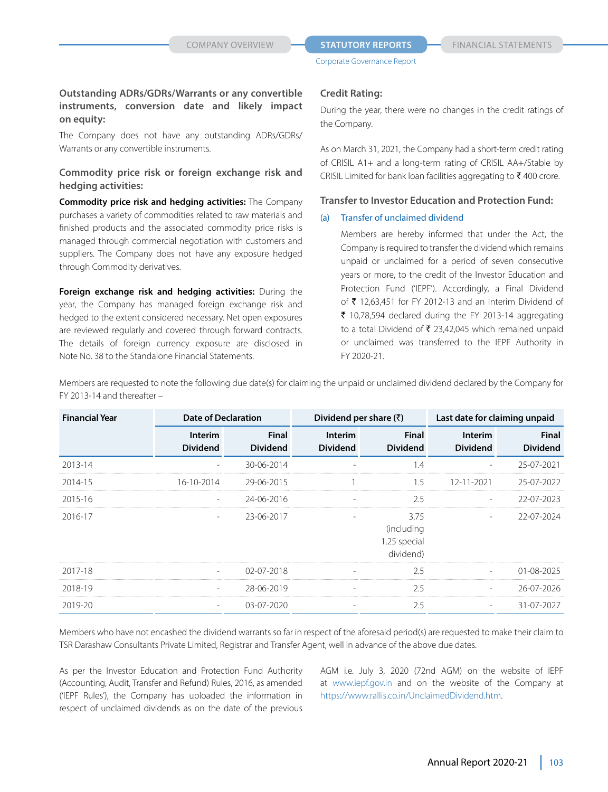#### **COMPANY OVERVIEW <b>STATUTORY REPORTS** FINANCIAL STATEMENTS

Corporate Governance Report

# **Outstanding ADRs/GDRs/Warrants or any convertible instruments, conversion date and likely impact on equity:**

The Company does not have any outstanding ADRs/GDRs/ Warrants or any convertible instruments.

# **Commodity price risk or foreign exchange risk and hedging activities:**

**Commodity price risk and hedging activities:** The Company purchases a variety of commodities related to raw materials and finished products and the associated commodity price risks is managed through commercial negotiation with customers and suppliers. The Company does not have any exposure hedged through Commodity derivatives.

**Foreign exchange risk and hedging activities:** During the year, the Company has managed foreign exchange risk and hedged to the extent considered necessary. Net open exposures are reviewed regularly and covered through forward contracts. The details of foreign currency exposure are disclosed in Note No. 38 to the Standalone Financial Statements.

#### **Credit Rating:**

During the year, there were no changes in the credit ratings of the Company.

As on March 31, 2021, the Company had a short-term credit rating of CRISIL A1+ and a long-term rating of CRISIL AA+/Stable by CRISIL Limited for bank loan facilities aggregating to  $\bar{\tau}$  400 crore.

# **Transfer to Investor Education and Protection Fund:**

#### (a) Transfer of unclaimed dividend

 Members are hereby informed that under the Act, the Company is required to transfer the dividend which remains unpaid or unclaimed for a period of seven consecutive years or more, to the credit of the Investor Education and Protection Fund ('IEPF'). Accordingly, a Final Dividend of  $\bar{\tau}$  12,63,451 for FY 2012-13 and an Interim Dividend of  $\bar{\tau}$  10,78,594 declared during the FY 2013-14 aggregating to a total Dividend of  $\bar{\tau}$  23,42,045 which remained unpaid or unclaimed was transferred to the IEPF Authority in FY 2020-21.

Members are requested to note the following due date(s) for claiming the unpaid or unclaimed dividend declared by the Company for FY 2013-14 and thereafter –

| <b>Financial Year</b> | <b>Date of Declaration</b><br>Dividend per share $(\bar{z})$ |                                 |                                   | Last date for claiming unpaid                   |                                   |                                 |
|-----------------------|--------------------------------------------------------------|---------------------------------|-----------------------------------|-------------------------------------------------|-----------------------------------|---------------------------------|
|                       | <b>Interim</b><br><b>Dividend</b>                            | <b>Final</b><br><b>Dividend</b> | <b>Interim</b><br><b>Dividend</b> | <b>Final</b><br><b>Dividend</b>                 | <b>Interim</b><br><b>Dividend</b> | <b>Final</b><br><b>Dividend</b> |
| 2013-14               |                                                              | 30-06-2014                      |                                   | 1.4                                             |                                   | 25-07-2021                      |
| 2014-15               | 16-10-2014                                                   | 29-06-2015                      |                                   | $1.5\,$                                         | 12-11-2021                        | 25-07-2022                      |
| 2015-16               |                                                              | 24-06-2016                      |                                   | 2.5                                             |                                   | 22-07-2023                      |
| 2016-17               |                                                              | 23-06-2017                      |                                   | 3.75<br>(including<br>1.25 special<br>dividend) |                                   | 22-07-2024                      |
| 2017-18               |                                                              | $02 - 07 - 2018$                |                                   | 2.5                                             |                                   | $01 - 08 - 2025$                |
| 2018-19               | ۰                                                            | 28-06-2019                      |                                   | 2.5                                             |                                   | 26-07-2026                      |
| 2019-20               | $\qquad \qquad -$                                            | 03-07-2020                      |                                   | 2.5                                             | $\overline{\phantom{a}}$          | 31-07-2027                      |

Members who have not encashed the dividend warrants so far in respect of the aforesaid period(s) are requested to make their claim to TSR Darashaw Consultants Private Limited, Registrar and Transfer Agent, well in advance of the above due dates.

As per the Investor Education and Protection Fund Authority (Accounting, Audit, Transfer and Refund) Rules, 2016, as amended ('IEPF Rules'), the Company has uploaded the information in respect of unclaimed dividends as on the date of the previous

AGM i.e. July 3, 2020 (72nd AGM) on the website of IEPF at www.iepf.gov.in and on the website of the Company at https://www.rallis.co.in/UnclaimedDividend.htm.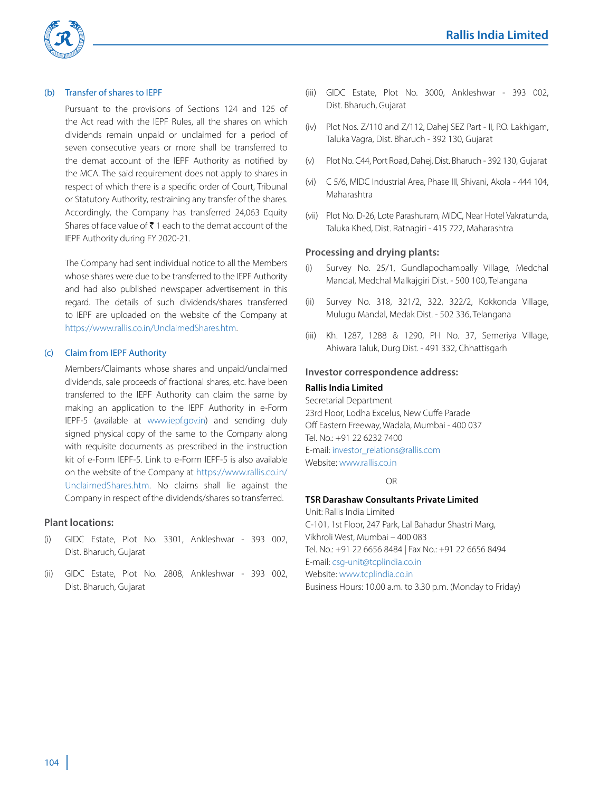

#### (b) Transfer of shares to IEPF

Pursuant to the provisions of Sections 124 and 125 of the Act read with the IEPF Rules, all the shares on which dividends remain unpaid or unclaimed for a period of seven consecutive years or more shall be transferred to the demat account of the IEPF Authority as notified by the MCA. The said requirement does not apply to shares in respect of which there is a specific order of Court, Tribunal or Statutory Authority, restraining any transfer of the shares. Accordingly, the Company has transferred 24,063 Equity Shares of face value of  $\bar{\tau}$  1 each to the demat account of the IEPF Authority during FY 2020-21.

 The Company had sent individual notice to all the Members whose shares were due to be transferred to the IEPF Authority and had also published newspaper advertisement in this regard. The details of such dividends/shares transferred to IEPF are uploaded on the website of the Company at https://www.rallis.co.in/UnclaimedShares.htm.

#### (c) Claim from IEPF Authority

 Members/Claimants whose shares and unpaid/unclaimed dividends, sale proceeds of fractional shares, etc. have been transferred to the IEPF Authority can claim the same by making an application to the IEPF Authority in e-Form IEPF-5 (available at www.iepf.gov.in) and sending duly signed physical copy of the same to the Company along with requisite documents as prescribed in the instruction kit of e-Form IEPF-5. Link to e-Form IEPF-5 is also available on the website of the Company at https://www.rallis.co.in/ UnclaimedShares.htm. No claims shall lie against the Company in respect of the dividends/shares so transferred.

#### **Plant locations:**

- (i) GIDC Estate, Plot No. 3301, Ankleshwar 393 002, Dist. Bharuch, Gujarat
- (ii) GIDC Estate, Plot No. 2808, Ankleshwar 393 002, Dist. Bharuch, Gujarat
- (iii) GIDC Estate, Plot No. 3000, Ankleshwar 393 002, Dist. Bharuch, Gujarat
- (iv) Plot Nos. Z/110 and Z/112, Dahej SEZ Part II, P.O. Lakhigam, Taluka Vagra, Dist. Bharuch - 392 130, Gujarat
- (v) Plot No. C44, Port Road, Dahej, Dist. Bharuch 392 130, Gujarat
- (vi) C 5/6, MIDC Industrial Area, Phase III, Shivani, Akola 444 104, Maharashtra
- (vii) Plot No. D-26, Lote Parashuram, MIDC, Near Hotel Vakratunda, Taluka Khed, Dist. Ratnagiri - 415 722, Maharashtra

#### **Processing and drying plants:**

- Survey No. 25/1, Gundlapochampally Village, Medchal Mandal, Medchal Malkajgiri Dist. - 500 100, Telangana
- (ii) Survey No. 318, 321/2, 322, 322/2, Kokkonda Village, Mulugu Mandal, Medak Dist. - 502 336, Telangana
- (iii) Kh. 1287, 1288 & 1290, PH No. 37, Semeriya Village, Ahiwara Taluk, Durg Dist. - 491 332, Chhattisgarh

#### **Investor correspondence address:**

#### **Rallis India Limited**

Secretarial Department 23rd Floor, Lodha Excelus, New Cuffe Parade Off Eastern Freeway, Wadala, Mumbai - 400 037 Tel. No.: +91 22 6232 7400 E-mail: investor\_relations@rallis.com Website: www.rallis.co.in

#### **OR** CONTROLLER

# **TSR Darashaw Consultants Private Limited**

Unit: Rallis India Limited C-101, 1st Floor, 247 Park, Lal Bahadur Shastri Marg, Vikhroli West, Mumbai – 400 083 Tel. No.: +91 22 6656 8484 | Fax No.: +91 22 6656 8494 E-mail: csg-unit@tcplindia.co.in Website: www.tcplindia.co.in Business Hours: 10.00 a.m. to 3.30 p.m. (Monday to Friday)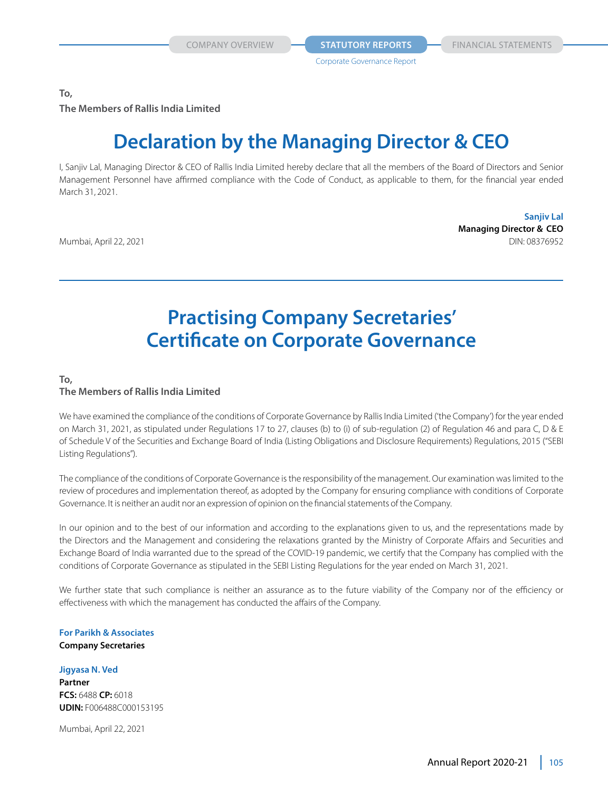**COMPANY OVERVIEW <b>STATUTORY REPORTS** FINANCIAL STATEMENTS

**To, The Members of Rallis India Limited**

# **Declaration by the Managing Director & CEO**

I, Sanjiv Lal, Managing Director & CEO of Rallis India Limited hereby declare that all the members of the Board of Directors and Senior Management Personnel have affirmed compliance with the Code of Conduct, as applicable to them, for the financial year ended March 31, 2021.

**Sanjiv Lal Managing Director & CEO** Mumbai, April 22, 2021 **DIN: 08376952** 

# **Practising Company Secretaries' Certificate on Corporate Governance**

# **To,**

# **The Members of Rallis India Limited**

We have examined the compliance of the conditions of Corporate Governance by Rallis India Limited ('the Company') for the year ended on March 31, 2021, as stipulated under Regulations 17 to 27, clauses (b) to (i) of sub-regulation (2) of Regulation 46 and para C, D & E of Schedule V of the Securities and Exchange Board of India (Listing Obligations and Disclosure Requirements) Regulations, 2015 ("SEBI Listing Regulations").

The compliance of the conditions of Corporate Governance is the responsibility of the management. Our examination was limited to the review of procedures and implementation thereof, as adopted by the Company for ensuring compliance with conditions of Corporate Governance. It is neither an audit nor an expression of opinion on the financial statements of the Company.

In our opinion and to the best of our information and according to the explanations given to us, and the representations made by the Directors and the Management and considering the relaxations granted by the Ministry of Corporate Affairs and Securities and Exchange Board of India warranted due to the spread of the COVID-19 pandemic, we certify that the Company has complied with the conditions of Corporate Governance as stipulated in the SEBI Listing Regulations for the year ended on March 31, 2021.

We further state that such compliance is neither an assurance as to the future viability of the Company nor of the efficiency or effectiveness with which the management has conducted the affairs of the Company.

#### **For Parikh & Associates Company Secretaries**

#### **Jigyasa N. Ved**

**Partner FCS:** 6488 **CP:** 6018 **UDIN:** F006488C000153195

Mumbai, April 22, 2021